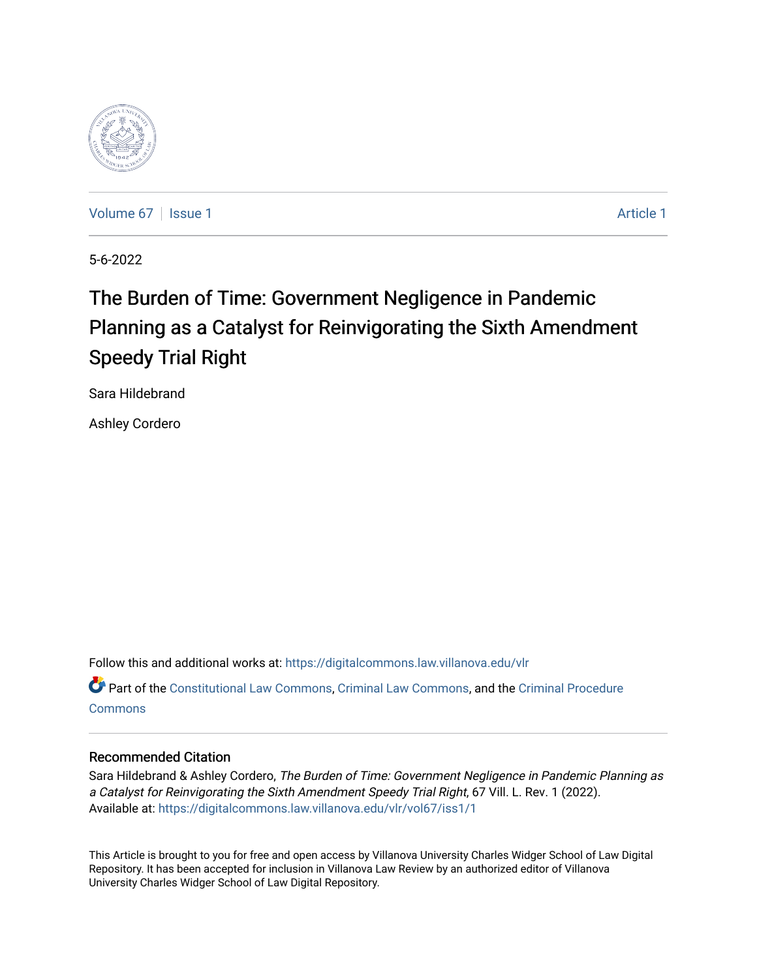

[Volume 67](https://digitalcommons.law.villanova.edu/vlr/vol67) | [Issue 1](https://digitalcommons.law.villanova.edu/vlr/vol67/iss1) [Article 1](https://digitalcommons.law.villanova.edu/vlr/vol67/iss1/1) Article 1 Article 1 Article 1 Article 1 Article 1 Article 1

5-6-2022

# The Burden of Time: Government Negligence in Pandemic Planning as a Catalyst for Reinvigorating the Sixth Amendment Speedy Trial Right

Sara Hildebrand

Ashley Cordero

Follow this and additional works at: [https://digitalcommons.law.villanova.edu/vlr](https://digitalcommons.law.villanova.edu/vlr?utm_source=digitalcommons.law.villanova.edu%2Fvlr%2Fvol67%2Fiss1%2F1&utm_medium=PDF&utm_campaign=PDFCoverPages)

Part of the [Constitutional Law Commons,](http://network.bepress.com/hgg/discipline/589?utm_source=digitalcommons.law.villanova.edu%2Fvlr%2Fvol67%2Fiss1%2F1&utm_medium=PDF&utm_campaign=PDFCoverPages) [Criminal Law Commons,](http://network.bepress.com/hgg/discipline/912?utm_source=digitalcommons.law.villanova.edu%2Fvlr%2Fvol67%2Fiss1%2F1&utm_medium=PDF&utm_campaign=PDFCoverPages) and the [Criminal Procedure](http://network.bepress.com/hgg/discipline/1073?utm_source=digitalcommons.law.villanova.edu%2Fvlr%2Fvol67%2Fiss1%2F1&utm_medium=PDF&utm_campaign=PDFCoverPages)  **[Commons](http://network.bepress.com/hgg/discipline/1073?utm_source=digitalcommons.law.villanova.edu%2Fvlr%2Fvol67%2Fiss1%2F1&utm_medium=PDF&utm_campaign=PDFCoverPages)** 

### Recommended Citation

Sara Hildebrand & Ashley Cordero, The Burden of Time: Government Negligence in Pandemic Planning as a Catalyst for Reinvigorating the Sixth Amendment Speedy Trial Right, 67 Vill. L. Rev. 1 (2022). Available at: [https://digitalcommons.law.villanova.edu/vlr/vol67/iss1/1](https://digitalcommons.law.villanova.edu/vlr/vol67/iss1/1?utm_source=digitalcommons.law.villanova.edu%2Fvlr%2Fvol67%2Fiss1%2F1&utm_medium=PDF&utm_campaign=PDFCoverPages) 

This Article is brought to you for free and open access by Villanova University Charles Widger School of Law Digital Repository. It has been accepted for inclusion in Villanova Law Review by an authorized editor of Villanova University Charles Widger School of Law Digital Repository.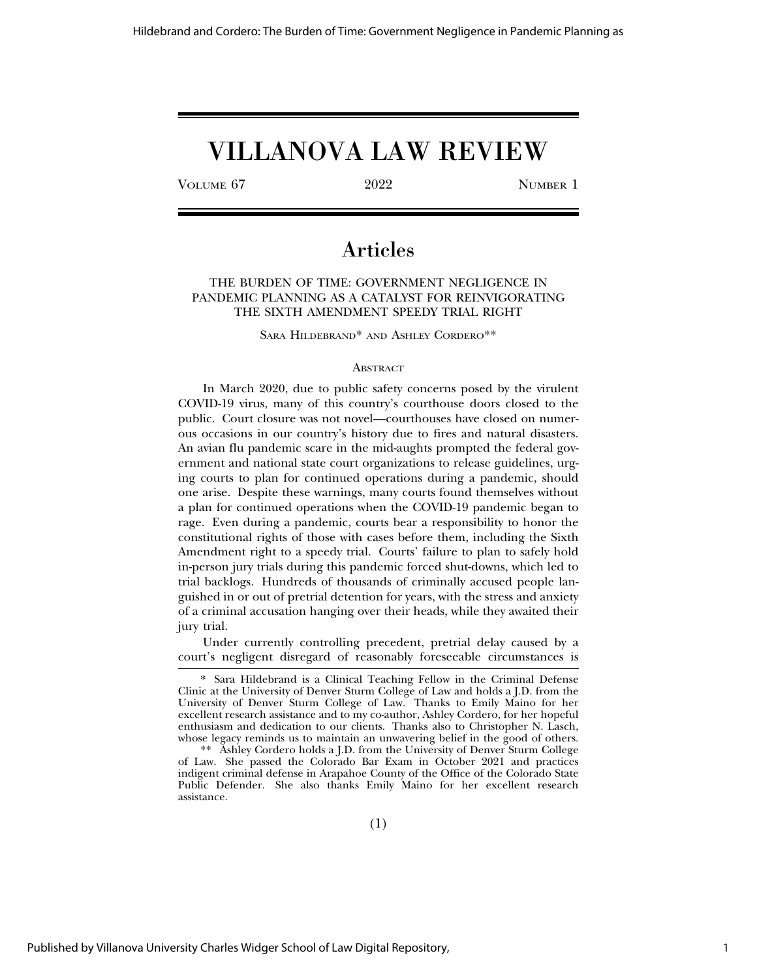## VILLANOVA LAW REVIEW

VOLUME 67 2022 NUMBER 1

## Articles

THE BURDEN OF TIME: GOVERNMENT NEGLIGENCE IN PANDEMIC PLANNING AS A CATALYST FOR REINVIGORATING THE SIXTH AMENDMENT SPEEDY TRIAL RIGHT

SARA HILDEBRAND\* AND ASHLEY CORDERO\*\*

#### **ABSTRACT**

In March 2020, due to public safety concerns posed by the virulent COVID-19 virus, many of this country's courthouse doors closed to the public. Court closure was not novel—courthouses have closed on numerous occasions in our country's history due to fires and natural disasters. An avian flu pandemic scare in the mid-aughts prompted the federal government and national state court organizations to release guidelines, urging courts to plan for continued operations during a pandemic, should one arise. Despite these warnings, many courts found themselves without a plan for continued operations when the COVID-19 pandemic began to rage. Even during a pandemic, courts bear a responsibility to honor the constitutional rights of those with cases before them, including the Sixth Amendment right to a speedy trial. Courts' failure to plan to safely hold in-person jury trials during this pandemic forced shut-downs, which led to trial backlogs. Hundreds of thousands of criminally accused people languished in or out of pretrial detention for years, with the stress and anxiety of a criminal accusation hanging over their heads, while they awaited their jury trial.

Under currently controlling precedent, pretrial delay caused by a court's negligent disregard of reasonably foreseeable circumstances is

<sup>\*</sup> Sara Hildebrand is a Clinical Teaching Fellow in the Criminal Defense Clinic at the University of Denver Sturm College of Law and holds a J.D. from the University of Denver Sturm College of Law. Thanks to Emily Maino for her excellent research assistance and to my co-author, Ashley Cordero, for her hopeful enthusiasm and dedication to our clients. Thanks also to Christopher N. Lasch, whose legacy reminds us to maintain an unwavering belief in the good of others.

<sup>\*\*</sup> Ashley Cordero holds a J.D. from the University of Denver Sturm College of Law. She passed the Colorado Bar Exam in October 2021 and practices indigent criminal defense in Arapahoe County of the Office of the Colorado State Public Defender. She also thanks Emily Maino for her excellent research assistance.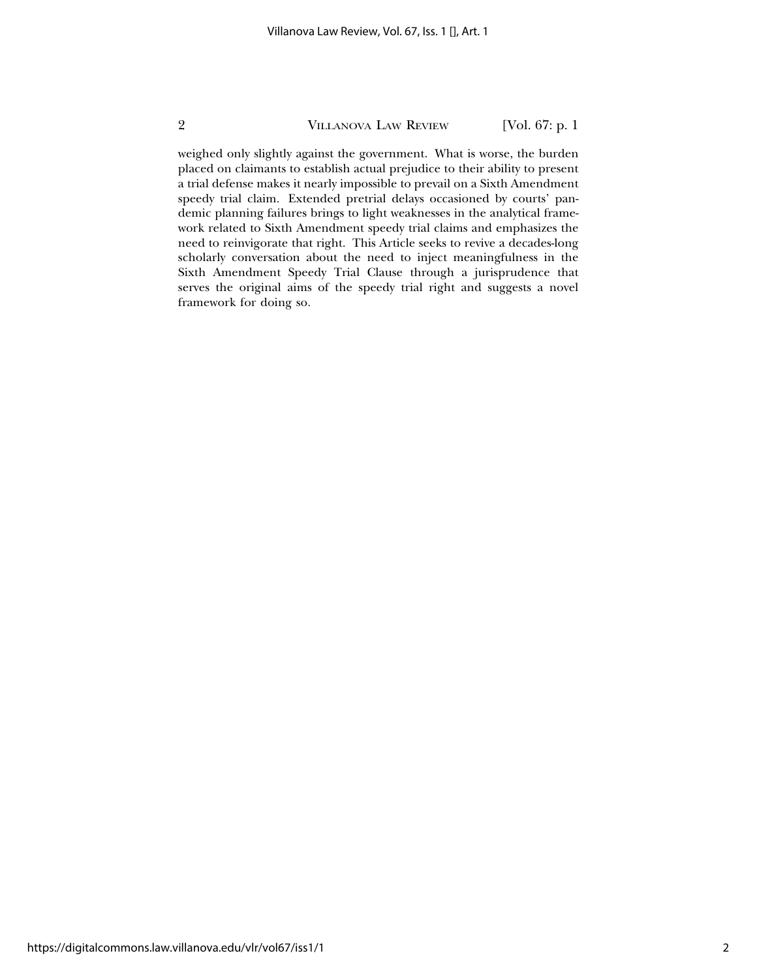weighed only slightly against the government. What is worse, the burden placed on claimants to establish actual prejudice to their ability to present a trial defense makes it nearly impossible to prevail on a Sixth Amendment speedy trial claim. Extended pretrial delays occasioned by courts' pandemic planning failures brings to light weaknesses in the analytical framework related to Sixth Amendment speedy trial claims and emphasizes the need to reinvigorate that right. This Article seeks to revive a decades-long scholarly conversation about the need to inject meaningfulness in the Sixth Amendment Speedy Trial Clause through a jurisprudence that serves the original aims of the speedy trial right and suggests a novel framework for doing so.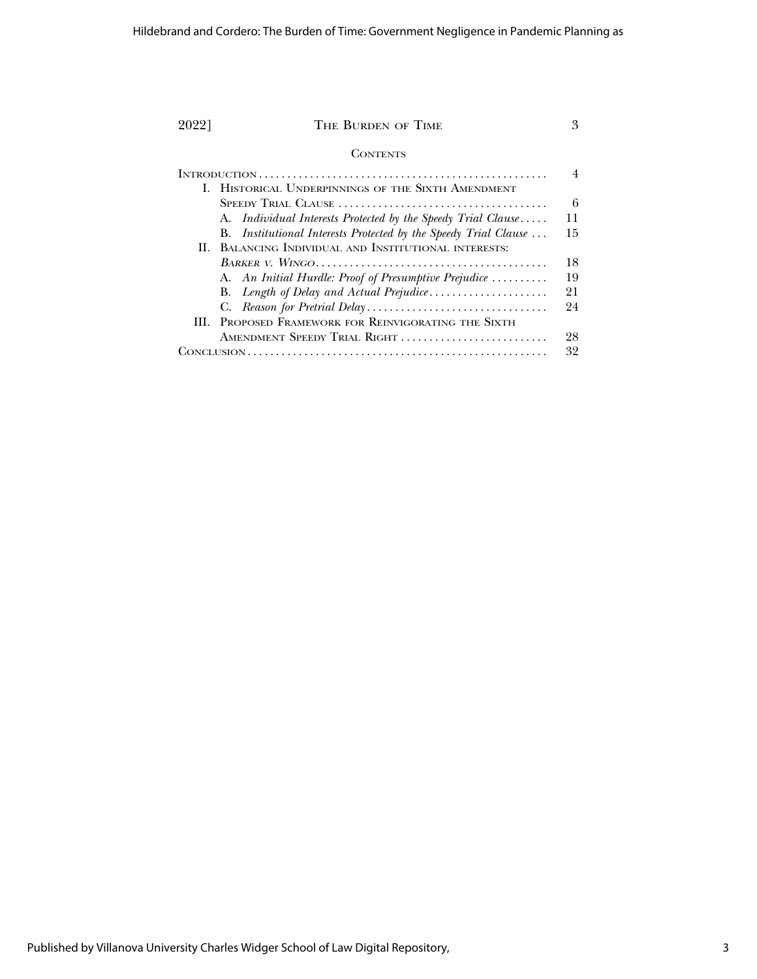| 20221           | THE BURDEN OF TIME                                              |                |
|-----------------|-----------------------------------------------------------------|----------------|
| <b>CONTENTS</b> |                                                                 |                |
|                 |                                                                 | $\overline{4}$ |
|                 | I. HISTORICAL UNDERPINNINGS OF THE SIXTH AMENDMENT              |                |
|                 |                                                                 | 6              |
|                 | A. Individual Interests Protected by the Speedy Trial Clause    | 11             |
|                 | B. Institutional Interests Protected by the Speedy Trial Clause | 15             |
|                 | II. BALANCING INDIVIDUAL AND INSTITUTIONAL INTERESTS:           |                |
|                 |                                                                 | 18             |
|                 | A. An Initial Hurdle: Proof of Presumptive Prejudice            | 19             |
|                 | B. Length of Delay and Actual Prejudice                         | 21             |
|                 |                                                                 | 24             |
|                 | <b>III. PROPOSED FRAMEWORK FOR REINVIGORATING THE SIXTH</b>     |                |
|                 | AMENDMENT SPEEDY TRIAL RIGHT                                    | 28             |
|                 |                                                                 | 32             |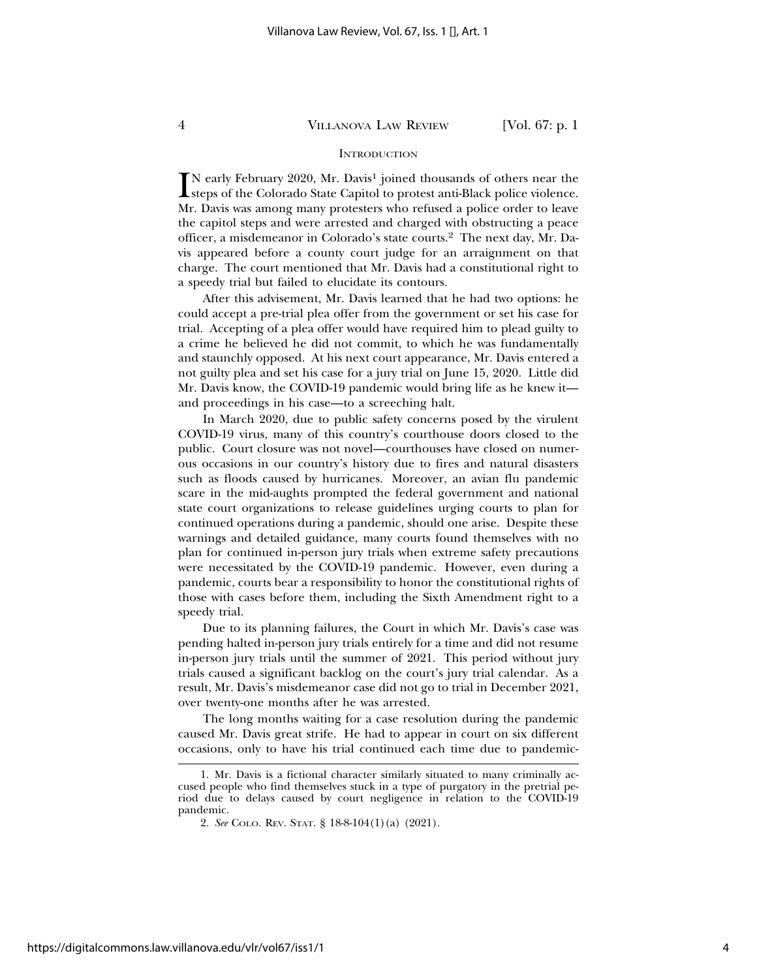#### **INTRODUCTION**

IN early February 2020, Mr. Davis<sup>1</sup> joined thousands of others near the steps of the Colorado State Capitol to protest anti-Black police violence.  $\blacksquare$  N early February 2020, Mr. Davis<sup>1</sup> joined thousands of others near the Mr. Davis was among many protesters who refused a police order to leave the capitol steps and were arrested and charged with obstructing a peace officer, a misdemeanor in Colorado's state courts.2 The next day, Mr. Davis appeared before a county court judge for an arraignment on that charge. The court mentioned that Mr. Davis had a constitutional right to a speedy trial but failed to elucidate its contours.

After this advisement, Mr. Davis learned that he had two options: he could accept a pre-trial plea offer from the government or set his case for trial. Accepting of a plea offer would have required him to plead guilty to a crime he believed he did not commit, to which he was fundamentally and staunchly opposed. At his next court appearance, Mr. Davis entered a not guilty plea and set his case for a jury trial on June 15, 2020. Little did Mr. Davis know, the COVID-19 pandemic would bring life as he knew it and proceedings in his case—to a screeching halt.

In March 2020, due to public safety concerns posed by the virulent COVID-19 virus, many of this country's courthouse doors closed to the public. Court closure was not novel—courthouses have closed on numerous occasions in our country's history due to fires and natural disasters such as floods caused by hurricanes. Moreover, an avian flu pandemic scare in the mid-aughts prompted the federal government and national state court organizations to release guidelines urging courts to plan for continued operations during a pandemic, should one arise. Despite these warnings and detailed guidance, many courts found themselves with no plan for continued in-person jury trials when extreme safety precautions were necessitated by the COVID-19 pandemic. However, even during a pandemic, courts bear a responsibility to honor the constitutional rights of those with cases before them, including the Sixth Amendment right to a speedy trial.

Due to its planning failures, the Court in which Mr. Davis's case was pending halted in-person jury trials entirely for a time and did not resume in-person jury trials until the summer of 2021. This period without jury trials caused a significant backlog on the court's jury trial calendar. As a result, Mr. Davis's misdemeanor case did not go to trial in December 2021, over twenty-one months after he was arrested.

The long months waiting for a case resolution during the pandemic caused Mr. Davis great strife. He had to appear in court on six different occasions, only to have his trial continued each time due to pandemic-

<sup>1.</sup> Mr. Davis is a fictional character similarly situated to many criminally accused people who find themselves stuck in a type of purgatory in the pretrial period due to delays caused by court negligence in relation to the COVID-19 pandemic.

<sup>2.</sup> *See* COLO. REV. STAT. § 18-8-104(1)(a) (2021).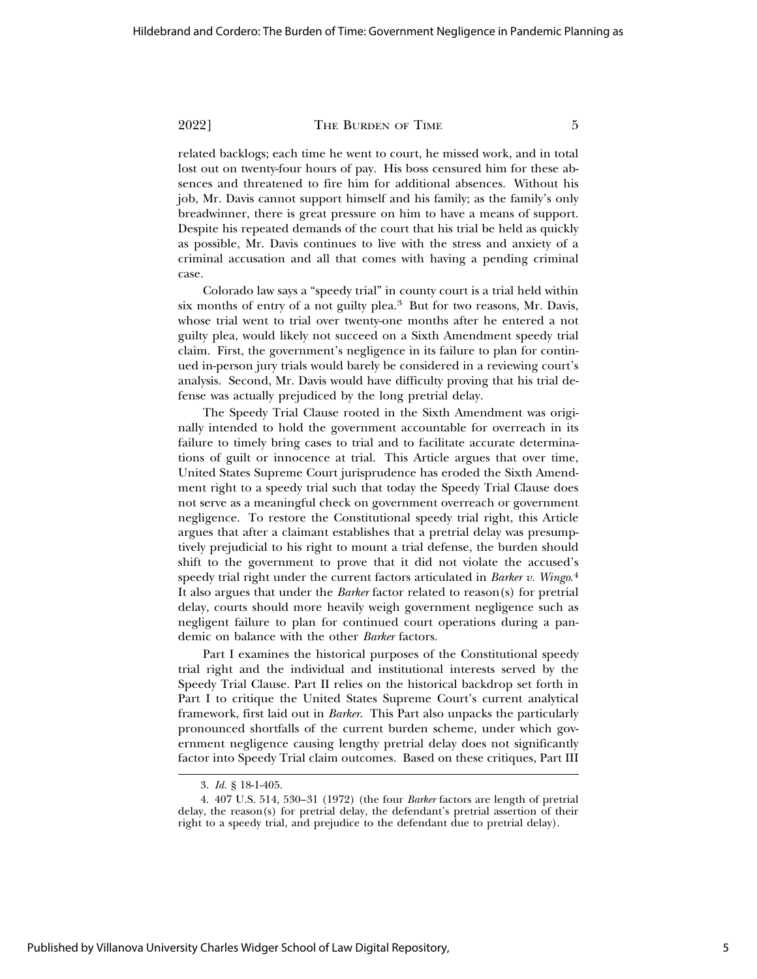related backlogs; each time he went to court, he missed work, and in total lost out on twenty-four hours of pay. His boss censured him for these absences and threatened to fire him for additional absences. Without his job, Mr. Davis cannot support himself and his family; as the family's only breadwinner, there is great pressure on him to have a means of support. Despite his repeated demands of the court that his trial be held as quickly as possible, Mr. Davis continues to live with the stress and anxiety of a criminal accusation and all that comes with having a pending criminal case.

Colorado law says a "speedy trial" in county court is a trial held within six months of entry of a not guilty plea.3 But for two reasons, Mr. Davis, whose trial went to trial over twenty-one months after he entered a not guilty plea, would likely not succeed on a Sixth Amendment speedy trial claim. First, the government's negligence in its failure to plan for continued in-person jury trials would barely be considered in a reviewing court's analysis. Second, Mr. Davis would have difficulty proving that his trial defense was actually prejudiced by the long pretrial delay.

The Speedy Trial Clause rooted in the Sixth Amendment was originally intended to hold the government accountable for overreach in its failure to timely bring cases to trial and to facilitate accurate determinations of guilt or innocence at trial. This Article argues that over time, United States Supreme Court jurisprudence has eroded the Sixth Amendment right to a speedy trial such that today the Speedy Trial Clause does not serve as a meaningful check on government overreach or government negligence. To restore the Constitutional speedy trial right, this Article argues that after a claimant establishes that a pretrial delay was presumptively prejudicial to his right to mount a trial defense, the burden should shift to the government to prove that it did not violate the accused's speedy trial right under the current factors articulated in *Barker v. Wingo*. 4 It also argues that under the *Barker* factor related to reason(s) for pretrial delay, courts should more heavily weigh government negligence such as negligent failure to plan for continued court operations during a pandemic on balance with the other *Barker* factors.

Part I examines the historical purposes of the Constitutional speedy trial right and the individual and institutional interests served by the Speedy Trial Clause. Part II relies on the historical backdrop set forth in Part I to critique the United States Supreme Court's current analytical framework, first laid out in *Barker*. This Part also unpacks the particularly pronounced shortfalls of the current burden scheme, under which government negligence causing lengthy pretrial delay does not significantly factor into Speedy Trial claim outcomes. Based on these critiques, Part III

<sup>3.</sup> *Id.* § 18-1-405.

<sup>4. 407</sup> U.S. 514, 530–31 (1972) (the four *Barker* factors are length of pretrial delay, the reason(s) for pretrial delay, the defendant's pretrial assertion of their right to a speedy trial, and prejudice to the defendant due to pretrial delay).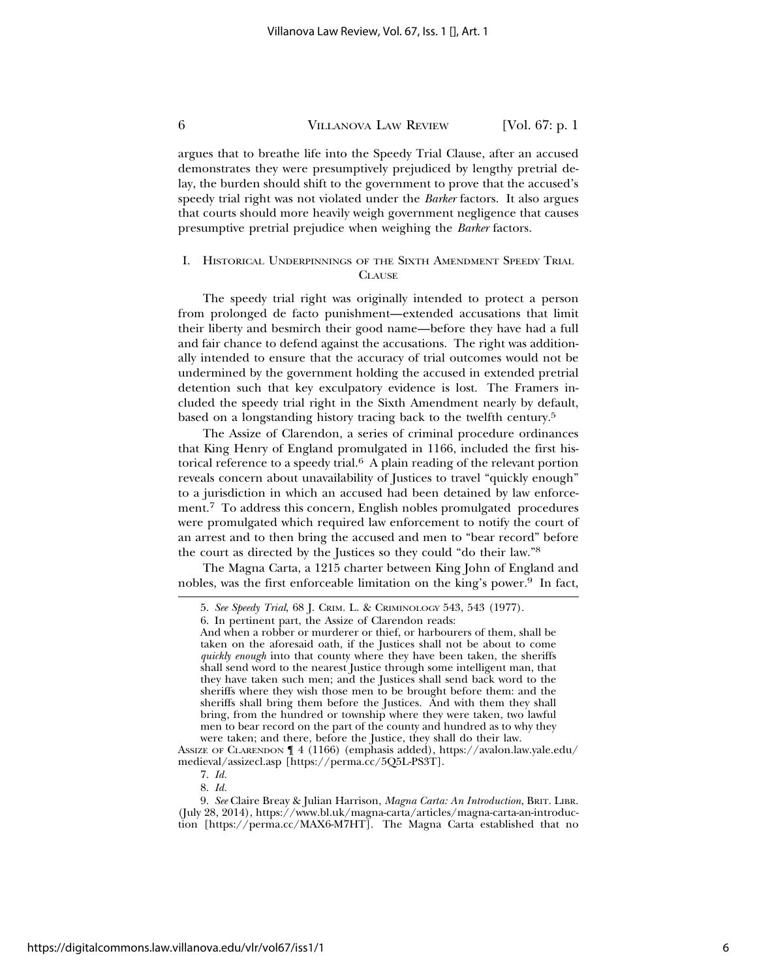argues that to breathe life into the Speedy Trial Clause, after an accused demonstrates they were presumptively prejudiced by lengthy pretrial delay, the burden should shift to the government to prove that the accused's speedy trial right was not violated under the *Barker* factors. It also argues that courts should more heavily weigh government negligence that causes presumptive pretrial prejudice when weighing the *Barker* factors.

#### I. HISTORICAL UNDERPINNINGS OF THE SIXTH AMENDMENT SPEEDY TRIAL **CLAUSE**

The speedy trial right was originally intended to protect a person from prolonged de facto punishment—extended accusations that limit their liberty and besmirch their good name—before they have had a full and fair chance to defend against the accusations. The right was additionally intended to ensure that the accuracy of trial outcomes would not be undermined by the government holding the accused in extended pretrial detention such that key exculpatory evidence is lost. The Framers included the speedy trial right in the Sixth Amendment nearly by default, based on a longstanding history tracing back to the twelfth century.5

The Assize of Clarendon, a series of criminal procedure ordinances that King Henry of England promulgated in 1166, included the first historical reference to a speedy trial. $6$  A plain reading of the relevant portion reveals concern about unavailability of Justices to travel "quickly enough" to a jurisdiction in which an accused had been detained by law enforcement.7 To address this concern, English nobles promulgated procedures were promulgated which required law enforcement to notify the court of an arrest and to then bring the accused and men to "bear record" before the court as directed by the Justices so they could "do their law."8

The Magna Carta, a 1215 charter between King John of England and nobles, was the first enforceable limitation on the king's power.<sup>9</sup> In fact,

<sup>5.</sup> *See Speedy Trial*, 68 J. CRIM. L. & CRIMINOLOGY 543, 543 (1977).

<sup>6.</sup> In pertinent part, the Assize of Clarendon reads:

And when a robber or murderer or thief, or harbourers of them, shall be taken on the aforesaid oath, if the Justices shall not be about to come *quickly enough* into that county where they have been taken, the sheriffs shall send word to the nearest Justice through some intelligent man, that they have taken such men; and the Justices shall send back word to the sheriffs where they wish those men to be brought before them: and the sheriffs shall bring them before the Justices. And with them they shall bring, from the hundred or township where they were taken, two lawful men to bear record on the part of the county and hundred as to why they were taken; and there, before the Justice, they shall do their law.

ASSIZE OF CLARENDON ¶ 4 (1166) (emphasis added), https://avalon.law.yale.edu/ medieval/assizecl.asp [https://perma.cc/5Q5L-PS3T].

<sup>7.</sup> *Id.*

<sup>8.</sup> *Id.*

<sup>9.</sup> *See* Claire Breay & Julian Harrison, *Magna Carta: An Introduction*, BRIT. LIBR. (July 28, 2014), https://www.bl.uk/magna-carta/articles/magna-carta-an-introduction [https://perma.cc/MAX6-M7HT]. The Magna Carta established that no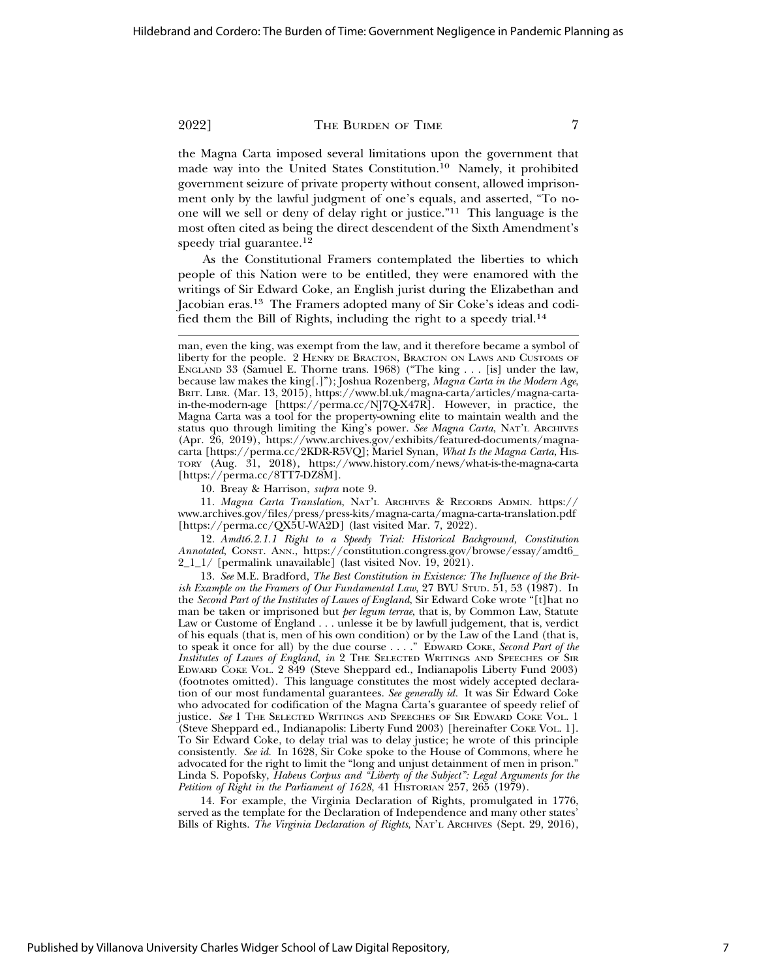the Magna Carta imposed several limitations upon the government that made way into the United States Constitution.10 Namely, it prohibited government seizure of private property without consent, allowed imprisonment only by the lawful judgment of one's equals, and asserted, "To noone will we sell or deny of delay right or justice."11 This language is the most often cited as being the direct descendent of the Sixth Amendment's speedy trial guarantee.<sup>12</sup>

As the Constitutional Framers contemplated the liberties to which people of this Nation were to be entitled, they were enamored with the writings of Sir Edward Coke, an English jurist during the Elizabethan and Jacobian eras.13 The Framers adopted many of Sir Coke's ideas and codified them the Bill of Rights, including the right to a speedy trial.14

10. Breay & Harrison, *supra* note 9.

11. *Magna Carta Translation*, NAT'L ARCHIVES & RECORDS ADMIN. https:// www.archives.gov/files/press/press-kits/magna-carta/magna-carta-translation.pdf [https://perma.cc/QX5U-WA2D] (last visited Mar. 7, 2022).

12. *Amdt6.2.1.1 Right to a Speedy Trial: Historical Background, Constitution Annotated*, CONST. ANN., https://constitution.congress.gov/browse/essay/amdt6\_ 2\_1\_1/ [permalink unavailable] (last visited Nov. 19, 2021).

13. *See* M.E. Bradford, *The Best Constitution in Existence: The Influence of the British Example on the Framers of Our Fundamental Law*, 27 BYU STUD. 51, 53 (1987). In the *Second Part of the Institutes of Lawes of England*, Sir Edward Coke wrote "[t]hat no man be taken or imprisoned but *per legum terrae*, that is, by Common Law, Statute Law or Custome of England . . . unlesse it be by lawfull judgement, that is, verdict of his equals (that is, men of his own condition) or by the Law of the Land (that is, to speak it once for all) by the due course . . . ." EDWARD COKE, *Second Part of the Institutes of Lawes of England*, *in* 2 THE SELECTED WRITINGS AND SPEECHES OF SIR EDWARD COKE VOL. 2 849 (Steve Sheppard ed., Indianapolis Liberty Fund 2003) (footnotes omitted). This language constitutes the most widely accepted declaration of our most fundamental guarantees. *See generally id.* It was Sir Edward Coke who advocated for codification of the Magna Carta's guarantee of speedy relief of justice. *See* 1 THE SELECTED WRITINGS AND SPEECHES OF SIR EDWARD COKE VOL. 1 (Steve Sheppard ed., Indianapolis: Liberty Fund 2003) [hereinafter COKE VOL. 1]. To Sir Edward Coke, to delay trial was to delay justice; he wrote of this principle consistently. *See id.* In 1628, Sir Coke spoke to the House of Commons, where he advocated for the right to limit the "long and unjust detainment of men in prison." Linda S. Popofsky, *Habeus Corpus and "Liberty of the Subject": Legal Arguments for the Petition of Right in the Parliament of 1628*, 41 HISTORIAN 257, 265 (1979).

14. For example, the Virginia Declaration of Rights, promulgated in 1776, served as the template for the Declaration of Independence and many other states' Bills of Rights. *The Virginia Declaration of Rights*, NAT'L ARCHIVES (Sept. 29, 2016),

man, even the king, was exempt from the law, and it therefore became a symbol of liberty for the people. 2 HENRY DE BRACTON, BRACTON ON LAWS AND CUSTOMS OF ENGLAND 33 (Samuel E. Thorne trans. 1968) ("The king . . . [is] under the law, because law makes the king[.]"); Joshua Rozenberg, *Magna Carta in the Modern Age*, BRIT. LIBR. (Mar. 13, 2015), https://www.bl.uk/magna-carta/articles/magna-cartain-the-modern-age [https://perma.cc/NJ7Q-X47R]. However, in practice, the Magna Carta was a tool for the property-owning elite to maintain wealth and the status quo through limiting the King's power. *See Magna Carta*, NAT'L ARCHIVES (Apr. 26, 2019), https://www.archives.gov/exhibits/featured-documents/magnacarta [https://perma.cc/2KDR-R5VQ]; Mariel Synan, *What Is the Magna Carta*, HIS-TORY (Aug. 31, 2018), https://www.history.com/news/what-is-the-magna-carta [https://perma.cc/8TT7-DZ8M].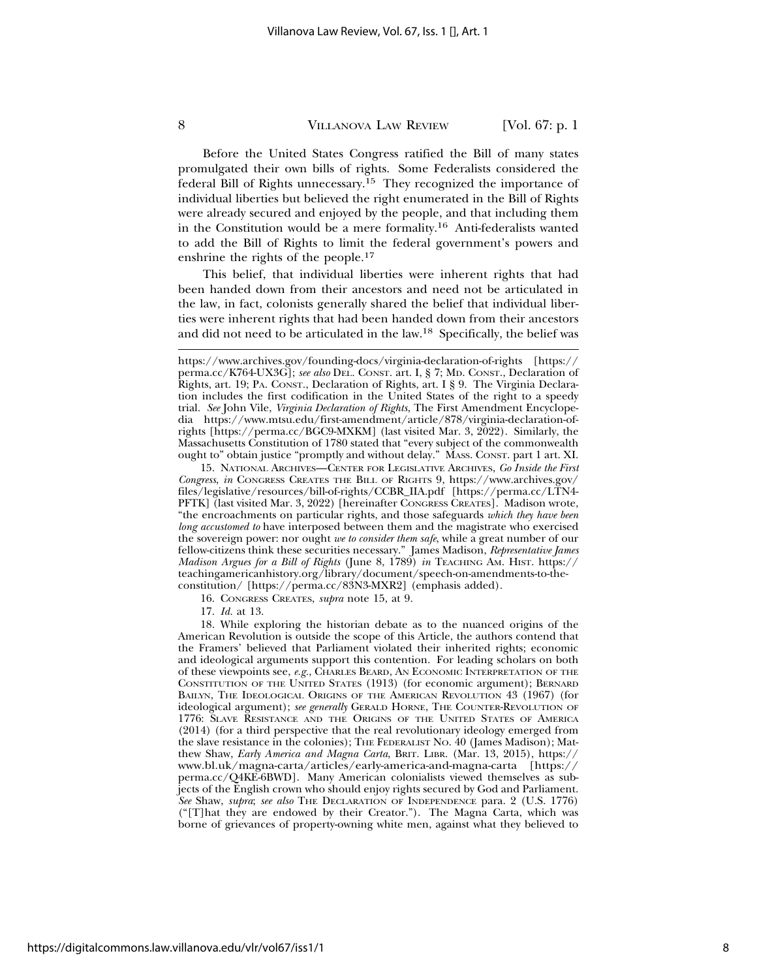Before the United States Congress ratified the Bill of many states promulgated their own bills of rights. Some Federalists considered the federal Bill of Rights unnecessary.<sup>15</sup> They recognized the importance of individual liberties but believed the right enumerated in the Bill of Rights were already secured and enjoyed by the people, and that including them in the Constitution would be a mere formality.16 Anti-federalists wanted to add the Bill of Rights to limit the federal government's powers and enshrine the rights of the people.<sup>17</sup>

This belief, that individual liberties were inherent rights that had been handed down from their ancestors and need not be articulated in the law, in fact, colonists generally shared the belief that individual liberties were inherent rights that had been handed down from their ancestors and did not need to be articulated in the law.18 Specifically, the belief was

16. CONGRESS CREATES, *supra* note 15, at 9.

17. *Id.* at 13.

18. While exploring the historian debate as to the nuanced origins of the American Revolution is outside the scope of this Article, the authors contend that the Framers' believed that Parliament violated their inherited rights; economic and ideological arguments support this contention. For leading scholars on both of these viewpoints see, *e.g.*, CHARLES BEARD, AN ECONOMIC INTERPRETATION OF THE CONSTITUTION OF THE UNITED STATES (1913) (for economic argument); BERNARD BAILYN, THE IDEOLOGICAL ORIGINS OF THE AMERICAN REVOLUTION 43 (1967) (for ideological argument); *see generally* GERALD HORNE, THE COUNTER-REVOLUTION OF 1776: SLAVE RESISTANCE AND THE ORIGINS OF THE UNITED STATES OF AMERICA (2014) (for a third perspective that the real revolutionary ideology emerged from the slave resistance in the colonies); THE FEDERALIST NO. 40 (James Madison); Matthew Shaw, *Early America and Magna Carta*, BRIT. LIBR. (Mar. 13, 2015), https:// www.bl.uk/magna-carta/articles/early-america-and-magna-carta [https:// perma.cc/Q4KE-6BWD]. Many American colonialists viewed themselves as subjects of the English crown who should enjoy rights secured by God and Parliament. *See* Shaw, *supra*; *see also* THE DECLARATION OF INDEPENDENCE para. 2 (U.S. 1776) ("[T]hat they are endowed by their Creator."). The Magna Carta, which was borne of grievances of property-owning white men, against what they believed to

https://www.archives.gov/founding-docs/virginia-declaration-of-rights [https:// perma.cc/K764-UX3G]; *see also* DEL. CONST. art. I, § 7; MD. CONST., Declaration of Rights, art. 19; PA. CONST., Declaration of Rights, art. I § 9. The Virginia Declaration includes the first codification in the United States of the right to a speedy trial. *See* John Vile, *Virginia Declaration of Rights*, The First Amendment Encyclopedia https://www.mtsu.edu/first-amendment/article/878/virginia-declaration-ofrights [https://perma.cc/BGC9-MXKM] (last visited Mar. 3, 2022). Similarly, the Massachusetts Constitution of 1780 stated that "every subject of the commonwealth ought to" obtain justice "promptly and without delay." MASS. CONST. part 1 art. XI.

<sup>15.</sup> NATIONAL ARCHIVES—CENTER FOR LEGISLATIVE ARCHIVES, *Go Inside the First Congress*, *in* CONGRESS CREATES THE BILL OF RIGHTS 9, https://www.archives.gov/ files/legislative/resources/bill-of-rights/CCBR\_IIA.pdf [https://perma.cc/LTN4- PFTK] (last visited Mar. 3, 2022) [hereinafter CONGRESS CREATES]. Madison wrote, "the encroachments on particular rights, and those safeguards *which they have been long accustomed to* have interposed between them and the magistrate who exercised the sovereign power: nor ought *we to consider them safe*, while a great number of our fellow-citizens think these securities necessary." James Madison, *Representative James Madison Argues for a Bill of Rights* (June 8, 1789) *in* TEACHING AM. HIST. https:// teachingamericanhistory.org/library/document/speech-on-amendments-to-theconstitution/ [https://perma.cc/83N3-MXR2] (emphasis added).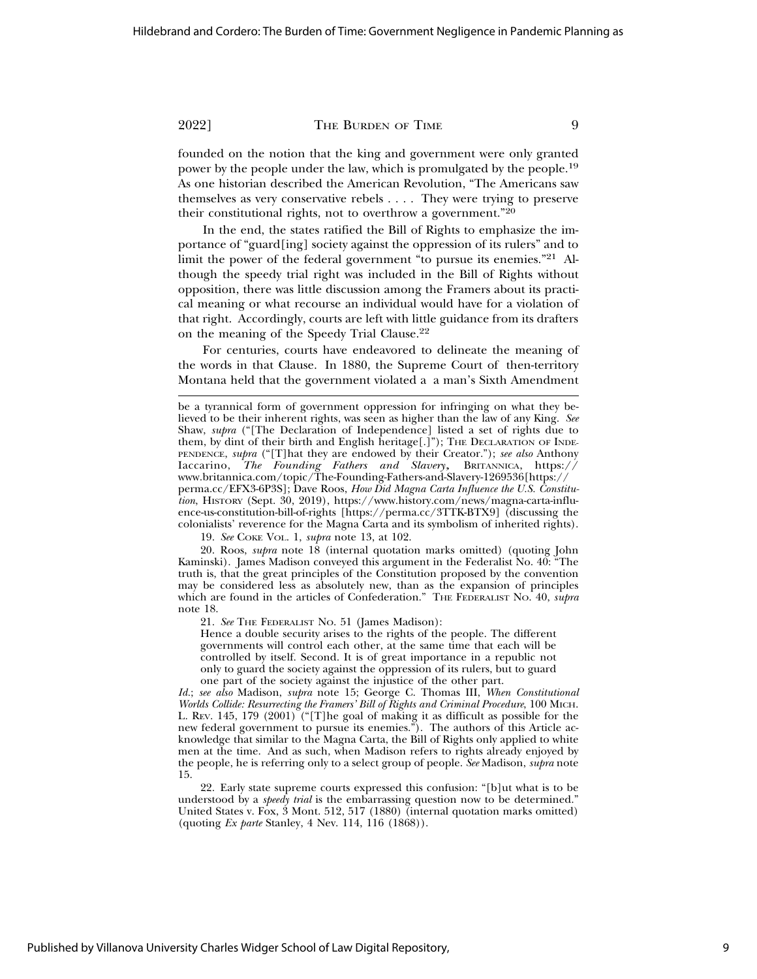founded on the notion that the king and government were only granted power by the people under the law, which is promulgated by the people.19 As one historian described the American Revolution, "The Americans saw themselves as very conservative rebels . . . . They were trying to preserve their constitutional rights, not to overthrow a government."20

In the end, the states ratified the Bill of Rights to emphasize the importance of "guard[ing] society against the oppression of its rulers" and to limit the power of the federal government "to pursue its enemies."21 Although the speedy trial right was included in the Bill of Rights without opposition, there was little discussion among the Framers about its practical meaning or what recourse an individual would have for a violation of that right. Accordingly, courts are left with little guidance from its drafters on the meaning of the Speedy Trial Clause.22

For centuries, courts have endeavored to delineate the meaning of the words in that Clause. In 1880, the Supreme Court of then-territory Montana held that the government violated a a man's Sixth Amendment

19. *See* COKE VOL. 1, *supra* note 13, at 102.

20. Roos, *supra* note 18 (internal quotation marks omitted) (quoting John Kaminski). James Madison conveyed this argument in the Federalist No. 40: "The truth is, that the great principles of the Constitution proposed by the convention may be considered less as absolutely new, than as the expansion of principles which are found in the articles of Confederation." THE FEDERALIST No. 40, *supra* note 18.

21. *See* THE FEDERALIST NO. 51 (James Madison):

Hence a double security arises to the rights of the people. The different governments will control each other, at the same time that each will be controlled by itself. Second. It is of great importance in a republic not only to guard the society against the oppression of its rulers, but to guard one part of the society against the injustice of the other part.

*Id.*; *see also* Madison, *supra* note 15; George C. Thomas III, *When Constitutional Worlds Collide: Resurrecting the Framers' Bill of Rights and Criminal Procedure*, 100 MICH. L. REV. 145, 179 (2001) ("[T]he goal of making it as difficult as possible for the new federal government to pursue its enemies."). The authors of this Article acknowledge that similar to the Magna Carta, the Bill of Rights only applied to white men at the time. And as such, when Madison refers to rights already enjoyed by the people, he is referring only to a select group of people. *See* Madison, *supra* note 15.

22. Early state supreme courts expressed this confusion: "[b]ut what is to be understood by a *speedy trial* is the embarrassing question now to be determined." United States v. Fox, 3 Mont. 512, 517 (1880) (internal quotation marks omitted) (quoting *Ex parte* Stanley, 4 Nev. 114, 116 (1868)).

be a tyrannical form of government oppression for infringing on what they believed to be their inherent rights, was seen as higher than the law of any King. *See* Shaw, *supra* ("[The Declaration of Independence] listed a set of rights due to them, by dint of their birth and English heritage[.]"); THE DECLARATION OF INDE-PENDENCE, *supra* ("[T]hat they are endowed by their Creator."); *see also* Anthony Iaccarino, *The Founding Fathers and Slavery*, BRITANNICA, https:// www.britannica.com/topic/The-Founding-Fathers-and-Slavery-1269536[https:// perma.cc/EFX3-6P3S]; Dave Roos, *How Did Magna Carta Influence the U.S. Constitution*, HISTORY (Sept. 30, 2019), https://www.history.com/news/magna-carta-influence-us-constitution-bill-of-rights [https://perma.cc/3TTK-BTX9] (discussing the colonialists' reverence for the Magna Carta and its symbolism of inherited rights).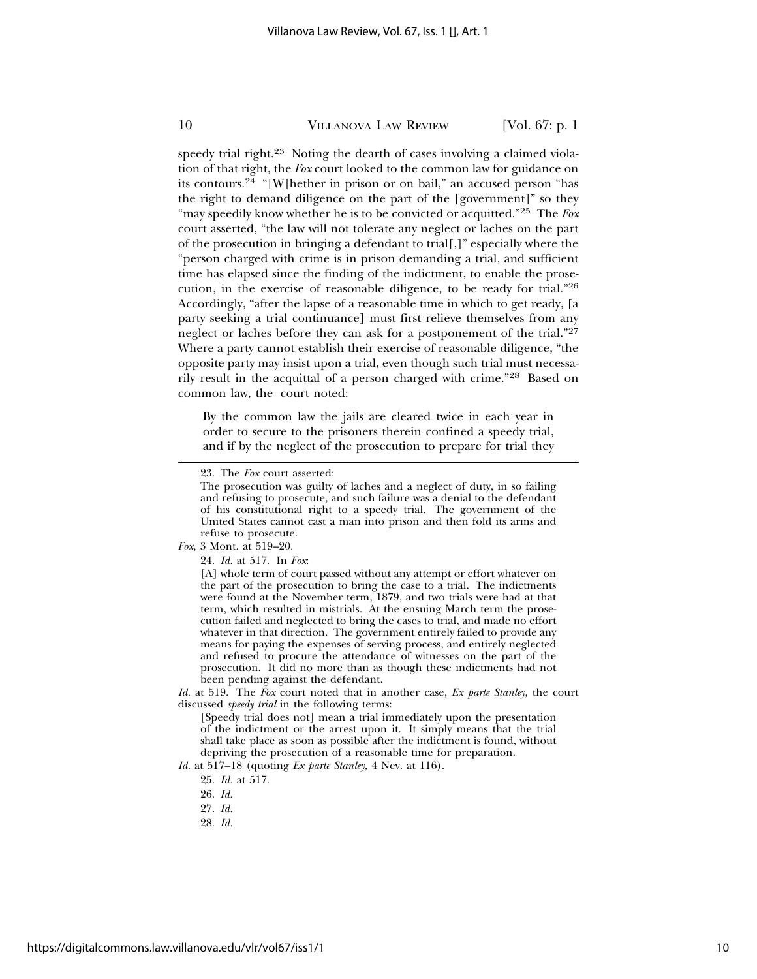speedy trial right.<sup>23</sup> Noting the dearth of cases involving a claimed violation of that right, the *Fox* court looked to the common law for guidance on its contours.24 "[W]hether in prison or on bail," an accused person "has the right to demand diligence on the part of the [government]" so they "may speedily know whether he is to be convicted or acquitted."25 The *Fox* court asserted, "the law will not tolerate any neglect or laches on the part of the prosecution in bringing a defendant to trial[,]" especially where the "person charged with crime is in prison demanding a trial, and sufficient time has elapsed since the finding of the indictment, to enable the prosecution, in the exercise of reasonable diligence, to be ready for trial."26 Accordingly, "after the lapse of a reasonable time in which to get ready, [a party seeking a trial continuance] must first relieve themselves from any neglect or laches before they can ask for a postponement of the trial."<sup>27</sup> Where a party cannot establish their exercise of reasonable diligence, "the opposite party may insist upon a trial, even though such trial must necessarily result in the acquittal of a person charged with crime."28 Based on common law, the court noted:

By the common law the jails are cleared twice in each year in order to secure to the prisoners therein confined a speedy trial, and if by the neglect of the prosecution to prepare for trial they

#### *Fox*, 3 Mont. at 519–20.

*Id.* at 519. The *Fox* court noted that in another case, *Ex parte Stanley*, the court discussed *speedy trial* in the following terms:

[Speedy trial does not] mean a trial immediately upon the presentation of the indictment or the arrest upon it. It simply means that the trial shall take place as soon as possible after the indictment is found, without depriving the prosecution of a reasonable time for preparation.

*Id.* at 517–18 (quoting *Ex parte Stanley*, 4 Nev. at 116).

<sup>23.</sup> The *Fox* court asserted:

The prosecution was guilty of laches and a neglect of duty, in so failing and refusing to prosecute, and such failure was a denial to the defendant of his constitutional right to a speedy trial. The government of the United States cannot cast a man into prison and then fold its arms and refuse to prosecute.

<sup>24.</sup> *Id.* at 517. In *Fox*:

<sup>[</sup>A] whole term of court passed without any attempt or effort whatever on the part of the prosecution to bring the case to a trial. The indictments were found at the November term, 1879, and two trials were had at that term, which resulted in mistrials. At the ensuing March term the prosecution failed and neglected to bring the cases to trial, and made no effort whatever in that direction. The government entirely failed to provide any means for paying the expenses of serving process, and entirely neglected and refused to procure the attendance of witnesses on the part of the prosecution. It did no more than as though these indictments had not been pending against the defendant.

<sup>25.</sup> *Id.* at 517.

<sup>26.</sup> *Id.*

<sup>27.</sup> *Id.*

<sup>28.</sup> *Id.*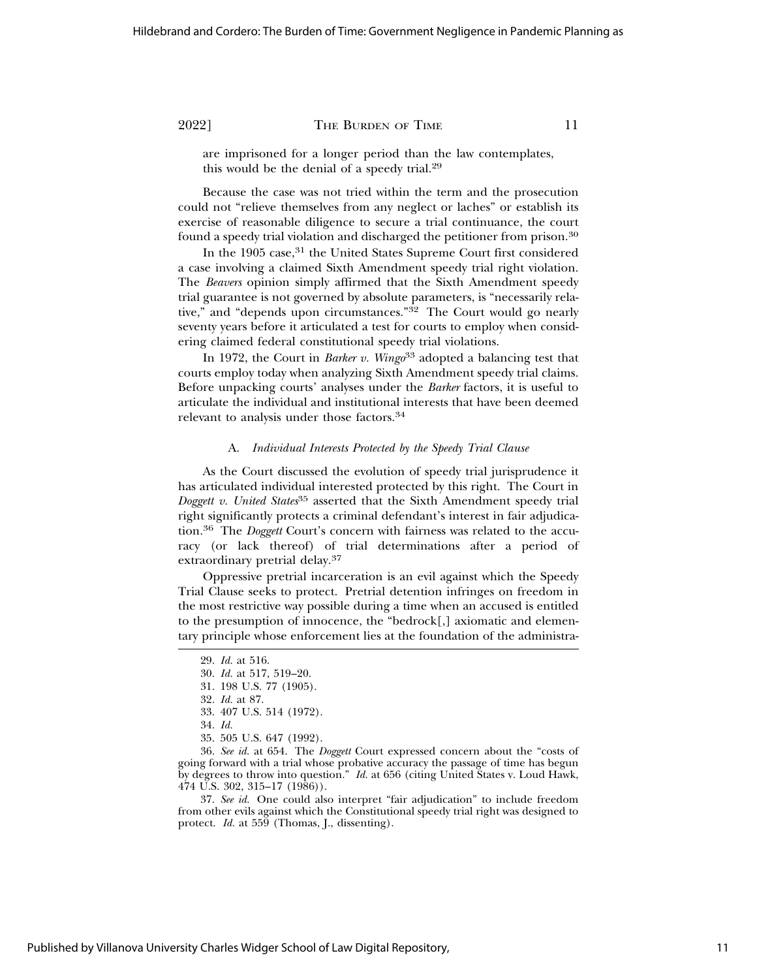are imprisoned for a longer period than the law contemplates, this would be the denial of a speedy trial.29

Because the case was not tried within the term and the prosecution could not "relieve themselves from any neglect or laches" or establish its exercise of reasonable diligence to secure a trial continuance, the court found a speedy trial violation and discharged the petitioner from prison.30

In the 1905 case,<sup>31</sup> the United States Supreme Court first considered a case involving a claimed Sixth Amendment speedy trial right violation. The *Beavers* opinion simply affirmed that the Sixth Amendment speedy trial guarantee is not governed by absolute parameters, is "necessarily relative," and "depends upon circumstances."<sup>32</sup> The Court would go nearly seventy years before it articulated a test for courts to employ when considering claimed federal constitutional speedy trial violations.

In 1972, the Court in *Barker v. Wingo*33 adopted a balancing test that courts employ today when analyzing Sixth Amendment speedy trial claims. Before unpacking courts' analyses under the *Barker* factors, it is useful to articulate the individual and institutional interests that have been deemed relevant to analysis under those factors.34

#### A. *Individual Interests Protected by the Speedy Trial Clause*

As the Court discussed the evolution of speedy trial jurisprudence it has articulated individual interested protected by this right. The Court in *Doggett v. United States*35 asserted that the Sixth Amendment speedy trial right significantly protects a criminal defendant's interest in fair adjudication.36 The *Doggett* Court's concern with fairness was related to the accuracy (or lack thereof) of trial determinations after a period of extraordinary pretrial delay.37

Oppressive pretrial incarceration is an evil against which the Speedy Trial Clause seeks to protect. Pretrial detention infringes on freedom in the most restrictive way possible during a time when an accused is entitled to the presumption of innocence, the "bedrock[,] axiomatic and elementary principle whose enforcement lies at the foundation of the administra-

37. *See id.* One could also interpret "fair adjudication" to include freedom from other evils against which the Constitutional speedy trial right was designed to protect. *Id.* at 559 (Thomas, J., dissenting).

<sup>29.</sup> *Id.* at 516.

<sup>30.</sup> *Id.* at 517, 519–20.

<sup>31. 198</sup> U.S. 77 (1905).

<sup>32.</sup> *Id.* at 87.

<sup>33. 407</sup> U.S. 514 (1972).

<sup>34.</sup> *Id.*

<sup>35. 505</sup> U.S. 647 (1992).

<sup>36.</sup> *See id.* at 654. The *Doggett* Court expressed concern about the "costs of going forward with a trial whose probative accuracy the passage of time has begun by degrees to throw into question." *Id.* at 656 (citing United States v. Loud Hawk,  $474$  U.S. 302, 315–17 (1986)).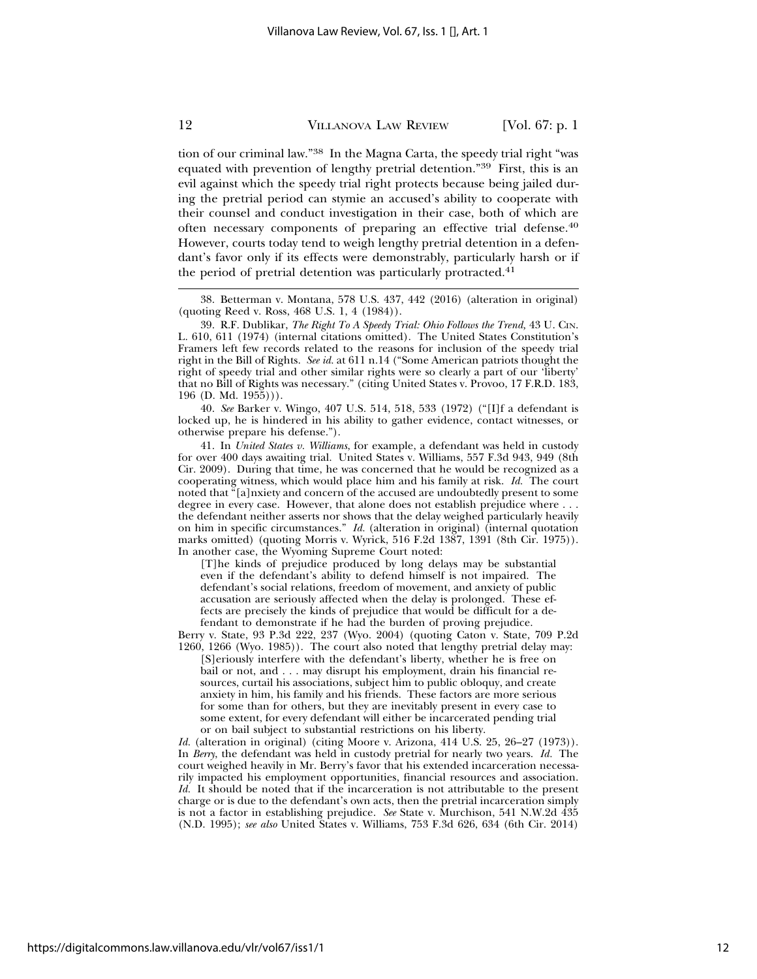tion of our criminal law."38 In the Magna Carta, the speedy trial right "was equated with prevention of lengthy pretrial detention."39 First, this is an evil against which the speedy trial right protects because being jailed during the pretrial period can stymie an accused's ability to cooperate with their counsel and conduct investigation in their case, both of which are often necessary components of preparing an effective trial defense.40 However, courts today tend to weigh lengthy pretrial detention in a defendant's favor only if its effects were demonstrably, particularly harsh or if the period of pretrial detention was particularly protracted. $41$ 

40. *See* Barker v. Wingo, 407 U.S. 514, 518, 533 (1972) ("[I]f a defendant is locked up, he is hindered in his ability to gather evidence, contact witnesses, or otherwise prepare his defense.").

41. In *United States v. Williams*, for example, a defendant was held in custody for over 400 days awaiting trial. United States v. Williams, 557 F.3d 943, 949 (8th Cir. 2009). During that time, he was concerned that he would be recognized as a cooperating witness, which would place him and his family at risk. *Id.* The court noted that "[a]nxiety and concern of the accused are undoubtedly present to some degree in every case. However, that alone does not establish prejudice where . . . the defendant neither asserts nor shows that the delay weighed particularly heavily on him in specific circumstances." *Id.* (alteration in original) (internal quotation marks omitted) (quoting Morris v. Wyrick, 516 F.2d 1387, 1391 (8th Cir. 1975)). In another case, the Wyoming Supreme Court noted:

[T]he kinds of prejudice produced by long delays may be substantial even if the defendant's ability to defend himself is not impaired. The defendant's social relations, freedom of movement, and anxiety of public accusation are seriously affected when the delay is prolonged. These effects are precisely the kinds of prejudice that would be difficult for a defendant to demonstrate if he had the burden of proving prejudice.

Berry v. State, 93 P.3d 222, 237 (Wyo. 2004) (quoting Caton v. State, 709 P.2d 1260, 1266 (Wyo. 1985)). The court also noted that lengthy pretrial delay may:

[S]eriously interfere with the defendant's liberty, whether he is free on bail or not, and . . . may disrupt his employment, drain his financial resources, curtail his associations, subject him to public obloquy, and create anxiety in him, his family and his friends. These factors are more serious for some than for others, but they are inevitably present in every case to some extent, for every defendant will either be incarcerated pending trial or on bail subject to substantial restrictions on his liberty.

*Id.* (alteration in original) (citing Moore v. Arizona, 414 U.S. 25, 26–27 (1973)). In *Berry*, the defendant was held in custody pretrial for nearly two years. *Id.* The court weighed heavily in Mr. Berry's favor that his extended incarceration necessarily impacted his employment opportunities, financial resources and association. *Id.* It should be noted that if the incarceration is not attributable to the present charge or is due to the defendant's own acts, then the pretrial incarceration simply is not a factor in establishing prejudice. *See* State v. Murchison, 541 N.W.2d 435 (N.D. 1995); *see also* United States v. Williams, 753 F.3d 626, 634 (6th Cir. 2014)

<sup>38.</sup> Betterman v. Montana, 578 U.S. 437, 442 (2016) (alteration in original) (quoting Reed v. Ross, 468 U.S. 1, 4 (1984)).

<sup>39.</sup> R.F. Dublikar, *The Right To A Speedy Trial: Ohio Follows the Trend,* 43 U. CIN. L. 610, 611 (1974) (internal citations omitted). The United States Constitution's Framers left few records related to the reasons for inclusion of the speedy trial right in the Bill of Rights. *See id.* at 611 n.14 ("Some American patriots thought the right of speedy trial and other similar rights were so clearly a part of our 'liberty' that no Bill of Rights was necessary." (citing United States v. Provoo, 17 F.R.D. 183, 196 (D. Md. 1955))).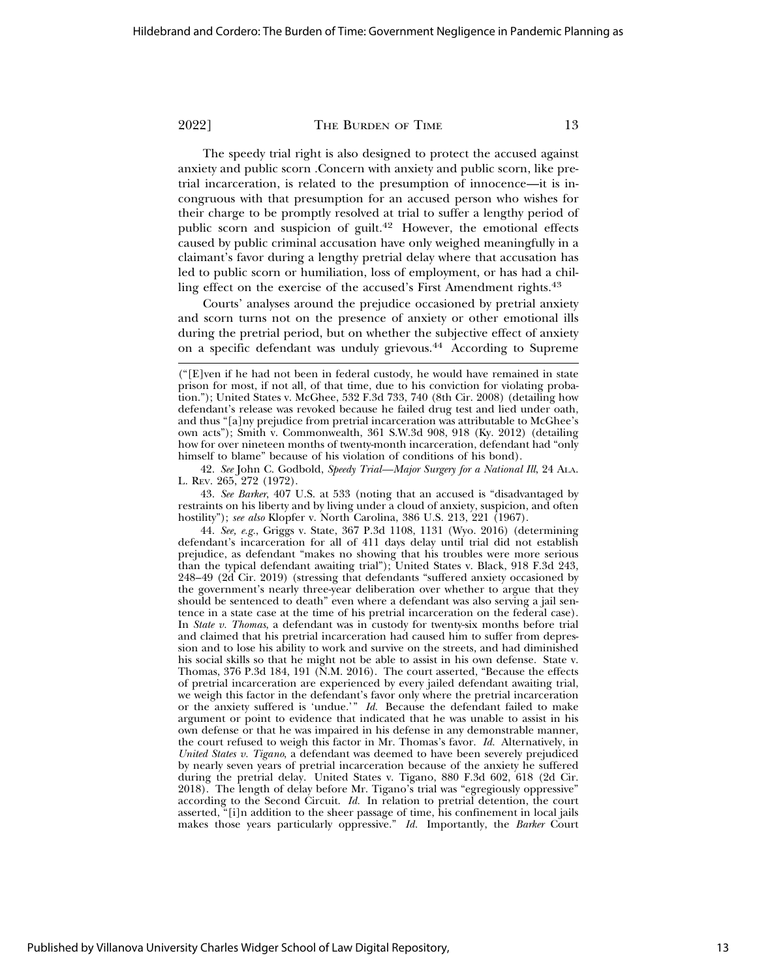The speedy trial right is also designed to protect the accused against anxiety and public scorn .Concern with anxiety and public scorn, like pretrial incarceration, is related to the presumption of innocence—it is incongruous with that presumption for an accused person who wishes for their charge to be promptly resolved at trial to suffer a lengthy period of public scorn and suspicion of guilt.<sup>42</sup> However, the emotional effects caused by public criminal accusation have only weighed meaningfully in a claimant's favor during a lengthy pretrial delay where that accusation has led to public scorn or humiliation, loss of employment, or has had a chilling effect on the exercise of the accused's First Amendment rights.<sup>43</sup>

Courts' analyses around the prejudice occasioned by pretrial anxiety and scorn turns not on the presence of anxiety or other emotional ills during the pretrial period, but on whether the subjective effect of anxiety on a specific defendant was unduly grievous.44 According to Supreme

42. *See* John C. Godbold, *Speedy Trial—Major Surgery for a National Ill*, 24 ALA. L. REV. 265, 272 (1972).

43. *See Barker*, 407 U.S. at 533 (noting that an accused is "disadvantaged by restraints on his liberty and by living under a cloud of anxiety, suspicion, and often hostility"); *see also* Klopfer v. North Carolina, 386 U.S. 213, 221 (1967).

44. *See, e.g.*, Griggs v. State, 367 P.3d 1108, 1131 (Wyo. 2016) (determining defendant's incarceration for all of 411 days delay until trial did not establish prejudice, as defendant "makes no showing that his troubles were more serious than the typical defendant awaiting trial"); United States v. Black, 918 F.3d 243, 248–49 (2d Cir. 2019) (stressing that defendants "suffered anxiety occasioned by the government's nearly three-year deliberation over whether to argue that they should be sentenced to death" even where a defendant was also serving a jail sentence in a state case at the time of his pretrial incarceration on the federal case). In *State v. Thomas*, a defendant was in custody for twenty-six months before trial and claimed that his pretrial incarceration had caused him to suffer from depression and to lose his ability to work and survive on the streets, and had diminished his social skills so that he might not be able to assist in his own defense. State v. Thomas, 376 P.3d 184, 191 (N.M. 2016). The court asserted, "Because the effects of pretrial incarceration are experienced by every jailed defendant awaiting trial, we weigh this factor in the defendant's favor only where the pretrial incarceration or the anxiety suffered is 'undue.'" *Id.* Because the defendant failed to make argument or point to evidence that indicated that he was unable to assist in his own defense or that he was impaired in his defense in any demonstrable manner, the court refused to weigh this factor in Mr. Thomas's favor. *Id.* Alternatively, in *United States v. Tigano*, a defendant was deemed to have been severely prejudiced by nearly seven years of pretrial incarceration because of the anxiety he suffered during the pretrial delay. United States v. Tigano, 880 F.3d 602, 618 (2d Cir. 2018). The length of delay before Mr. Tigano's trial was "egregiously oppressive" according to the Second Circuit. *Id.* In relation to pretrial detention, the court asserted, "[i]n addition to the sheer passage of time, his confinement in local jails makes those years particularly oppressive." *Id.* Importantly, the *Barker* Court

<sup>(&</sup>quot;[E]ven if he had not been in federal custody, he would have remained in state prison for most, if not all, of that time, due to his conviction for violating probation."); United States v. McGhee, 532 F.3d 733, 740 (8th Cir. 2008) (detailing how defendant's release was revoked because he failed drug test and lied under oath, and thus "[a]ny prejudice from pretrial incarceration was attributable to McGhee's own acts"); Smith v. Commonwealth, 361 S.W.3d 908, 918 (Ky. 2012) (detailing how for over nineteen months of twenty-month incarceration, defendant had "only himself to blame" because of his violation of conditions of his bond).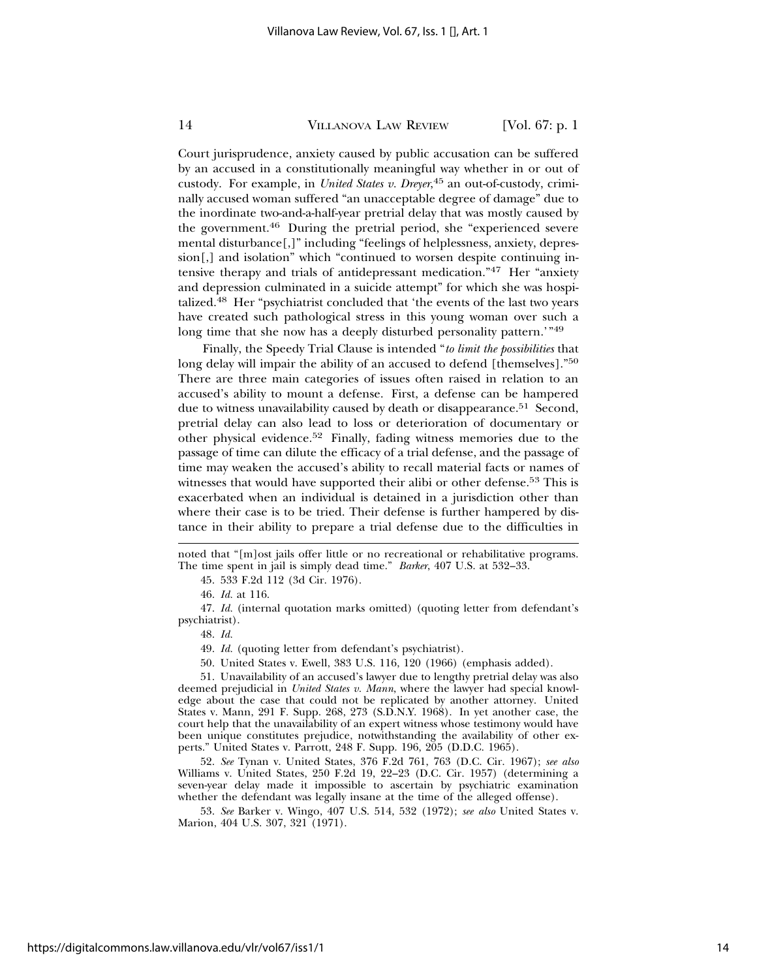Court jurisprudence, anxiety caused by public accusation can be suffered by an accused in a constitutionally meaningful way whether in or out of custody. For example, in *United States v. Dreyer*, 45 an out-of-custody, criminally accused woman suffered "an unacceptable degree of damage" due to the inordinate two-and-a-half-year pretrial delay that was mostly caused by the government.46 During the pretrial period, she "experienced severe mental disturbance[,]" including "feelings of helplessness, anxiety, depression[,] and isolation" which "continued to worsen despite continuing intensive therapy and trials of antidepressant medication."47 Her "anxiety and depression culminated in a suicide attempt" for which she was hospitalized.48 Her "psychiatrist concluded that 'the events of the last two years have created such pathological stress in this young woman over such a long time that she now has a deeply disturbed personality pattern.'"49

Finally, the Speedy Trial Clause is intended "*to limit the possibilities* that long delay will impair the ability of an accused to defend [themselves]."<sup>50</sup> There are three main categories of issues often raised in relation to an accused's ability to mount a defense. First, a defense can be hampered due to witness unavailability caused by death or disappearance.<sup>51</sup> Second, pretrial delay can also lead to loss or deterioration of documentary or other physical evidence.52 Finally, fading witness memories due to the passage of time can dilute the efficacy of a trial defense, and the passage of time may weaken the accused's ability to recall material facts or names of witnesses that would have supported their alibi or other defense.<sup>53</sup> This is exacerbated when an individual is detained in a jurisdiction other than where their case is to be tried. Their defense is further hampered by distance in their ability to prepare a trial defense due to the difficulties in

noted that "[m]ost jails offer little or no recreational or rehabilitative programs. The time spent in jail is simply dead time." *Barker*, 407 U.S. at 532–33.

45. 533 F.2d 112 (3d Cir. 1976).

46. *Id.* at 116.

47. *Id.* (internal quotation marks omitted) (quoting letter from defendant's psychiatrist).

48. *Id.*

49. *Id.* (quoting letter from defendant's psychiatrist).

50. United States v. Ewell, 383 U.S. 116, 120 (1966) (emphasis added).

51. Unavailability of an accused's lawyer due to lengthy pretrial delay was also deemed prejudicial in *United States v. Mann*, where the lawyer had special knowledge about the case that could not be replicated by another attorney. United States v. Mann, 291 F. Supp. 268, 273 (S.D.N.Y. 1968). In yet another case, the court help that the unavailability of an expert witness whose testimony would have been unique constitutes prejudice, notwithstanding the availability of other experts." United States v. Parrott, 248 F. Supp. 196, 205 (D.D.C. 1965).

52. *See* Tynan v. United States, 376 F.2d 761, 763 (D.C. Cir. 1967); *see also* Williams v. United States, 250 F.2d 19, 22–23 (D.C. Cir. 1957) (determining a seven-year delay made it impossible to ascertain by psychiatric examination whether the defendant was legally insane at the time of the alleged offense).

53. *See* Barker v. Wingo, 407 U.S. 514, 532 (1972); *see also* United States v. Marion, 404 U.S. 307, 321 (1971).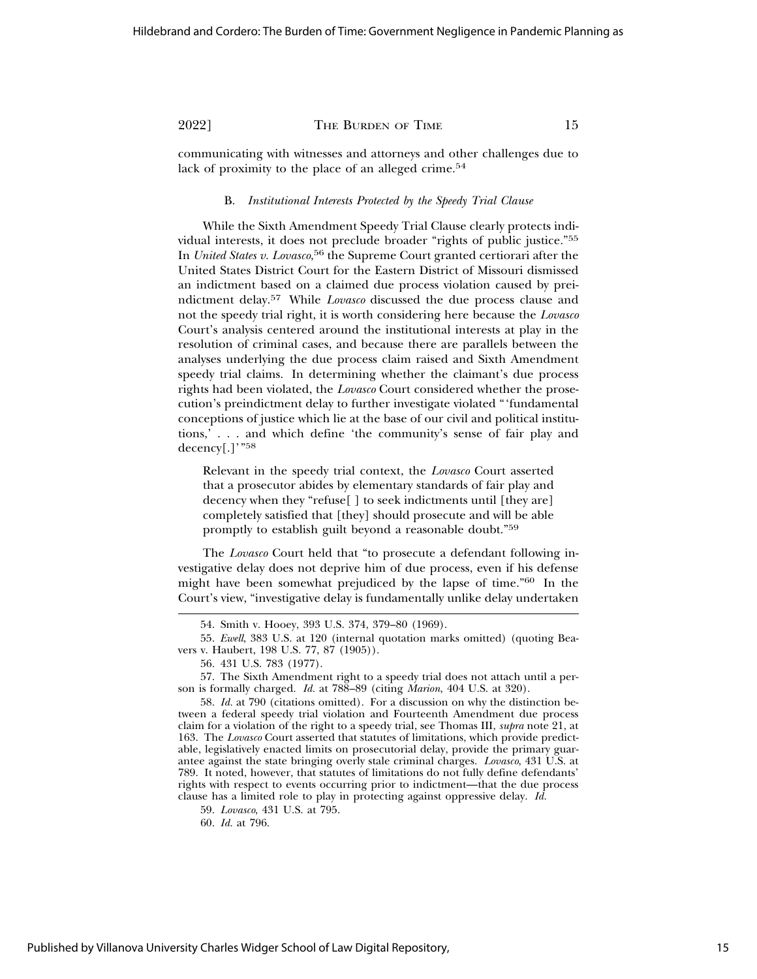communicating with witnesses and attorneys and other challenges due to lack of proximity to the place of an alleged crime.<sup>54</sup>

#### B. *Institutional Interests Protected by the Speedy Trial Clause*

While the Sixth Amendment Speedy Trial Clause clearly protects individual interests, it does not preclude broader "rights of public justice."55 In *United States v. Lovasco*, 56 the Supreme Court granted certiorari after the United States District Court for the Eastern District of Missouri dismissed an indictment based on a claimed due process violation caused by preindictment delay.57 While *Lovasco* discussed the due process clause and not the speedy trial right, it is worth considering here because the *Lovasco* Court's analysis centered around the institutional interests at play in the resolution of criminal cases, and because there are parallels between the analyses underlying the due process claim raised and Sixth Amendment speedy trial claims. In determining whether the claimant's due process rights had been violated, the *Lovasco* Court considered whether the prosecution's preindictment delay to further investigate violated "'fundamental conceptions of justice which lie at the base of our civil and political institutions,' . . . and which define 'the community's sense of fair play and decency[.]'"<sup>58</sup>

Relevant in the speedy trial context, the *Lovasco* Court asserted that a prosecutor abides by elementary standards of fair play and decency when they "refuse[ ] to seek indictments until [they are] completely satisfied that [they] should prosecute and will be able promptly to establish guilt beyond a reasonable doubt."59

The *Lovasco* Court held that "to prosecute a defendant following investigative delay does not deprive him of due process, even if his defense might have been somewhat prejudiced by the lapse of time."60 In the Court's view, "investigative delay is fundamentally unlike delay undertaken

59. *Lovasco*, 431 U.S. at 795.

60. *Id.* at 796.

<sup>54.</sup> Smith v. Hooey, 393 U.S. 374, 379–80 (1969).

<sup>55.</sup> *Ewell*, 383 U.S. at 120 (internal quotation marks omitted) (quoting Beavers v. Haubert, 198 U.S. 77, 87 (1905)).

<sup>56. 431</sup> U.S. 783 (1977).

<sup>57.</sup> The Sixth Amendment right to a speedy trial does not attach until a person is formally charged. *Id.* at 788–89 (citing *Marion*, 404 U.S. at 320).

<sup>58.</sup> *Id.* at 790 (citations omitted). For a discussion on why the distinction between a federal speedy trial violation and Fourteenth Amendment due process claim for a violation of the right to a speedy trial, see Thomas III, *supra* note 21, at 163. The *Lovasco* Court asserted that statutes of limitations, which provide predictable, legislatively enacted limits on prosecutorial delay, provide the primary guarantee against the state bringing overly stale criminal charges. *Lovasco*, 431 U.S. at 789. It noted, however, that statutes of limitations do not fully define defendants' rights with respect to events occurring prior to indictment—that the due process clause has a limited role to play in protecting against oppressive delay. *Id.*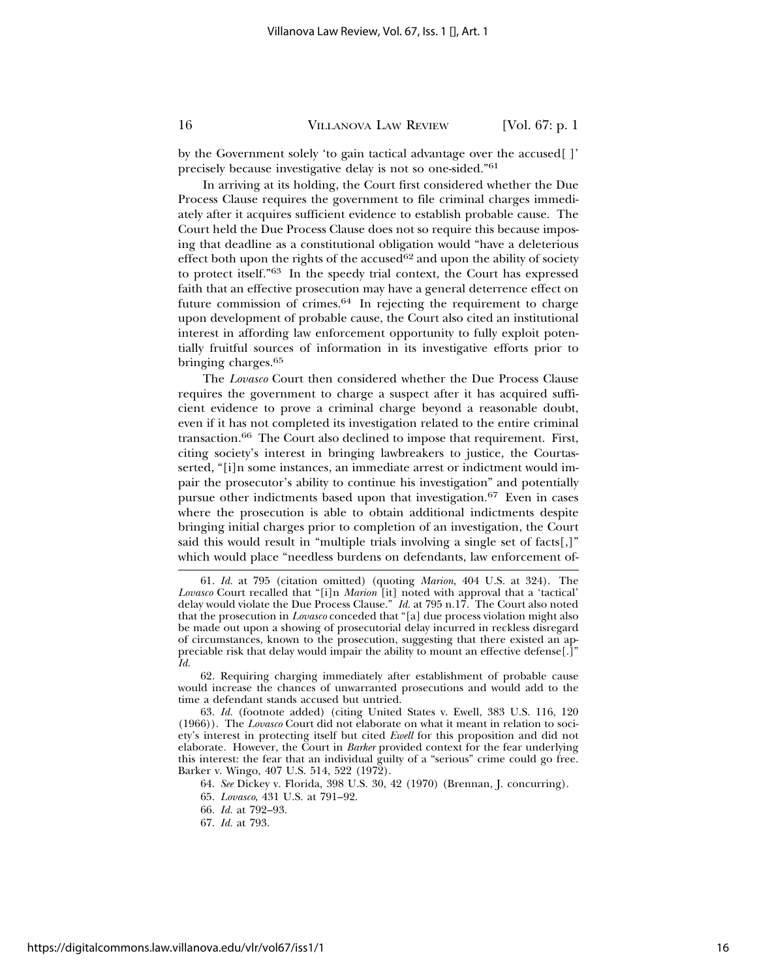by the Government solely 'to gain tactical advantage over the accused[ ]' precisely because investigative delay is not so one-sided."61

In arriving at its holding, the Court first considered whether the Due Process Clause requires the government to file criminal charges immediately after it acquires sufficient evidence to establish probable cause. The Court held the Due Process Clause does not so require this because imposing that deadline as a constitutional obligation would "have a deleterious effect both upon the rights of the  $accused^{62}$  and upon the ability of society to protect itself."63 In the speedy trial context, the Court has expressed faith that an effective prosecution may have a general deterrence effect on future commission of crimes.64 In rejecting the requirement to charge upon development of probable cause, the Court also cited an institutional interest in affording law enforcement opportunity to fully exploit potentially fruitful sources of information in its investigative efforts prior to bringing charges.65

The *Lovasco* Court then considered whether the Due Process Clause requires the government to charge a suspect after it has acquired sufficient evidence to prove a criminal charge beyond a reasonable doubt, even if it has not completed its investigation related to the entire criminal transaction.66 The Court also declined to impose that requirement. First, citing society's interest in bringing lawbreakers to justice, the Courtasserted, "[i]n some instances, an immediate arrest or indictment would impair the prosecutor's ability to continue his investigation" and potentially pursue other indictments based upon that investigation.67 Even in cases where the prosecution is able to obtain additional indictments despite bringing initial charges prior to completion of an investigation, the Court said this would result in "multiple trials involving a single set of facts[,]" which would place "needless burdens on defendants, law enforcement of-

62. Requiring charging immediately after establishment of probable cause would increase the chances of unwarranted prosecutions and would add to the time a defendant stands accused but untried.

63. *Id.* (footnote added) (citing United States v. Ewell, 383 U.S. 116, 120 (1966)). The *Lovasco* Court did not elaborate on what it meant in relation to society's interest in protecting itself but cited *Ewell* for this proposition and did not elaborate. However, the Court in *Barker* provided context for the fear underlying this interest: the fear that an individual guilty of a "serious" crime could go free. Barker v. Wingo, 407 U.S. 514, 522 (1972).

64. *See* Dickey v. Florida, 398 U.S. 30, 42 (1970) (Brennan, J. concurring).

65. *Lovasco*, 431 U.S. at 791–92.

66. *Id.* at 792–93.

<sup>61.</sup> *Id.* at 795 (citation omitted) (quoting *Marion*, 404 U.S. at 324). The *Lovasco* Court recalled that "[i]n *Marion* [it] noted with approval that a 'tactical' delay would violate the Due Process Clause." *Id.* at 795 n.17. The Court also noted that the prosecution in *Lovasco* conceded that "[a] due process violation might also be made out upon a showing of prosecutorial delay incurred in reckless disregard of circumstances, known to the prosecution, suggesting that there existed an appreciable risk that delay would impair the ability to mount an effective defense[.]" *Id.*

<sup>67.</sup> *Id.* at 793.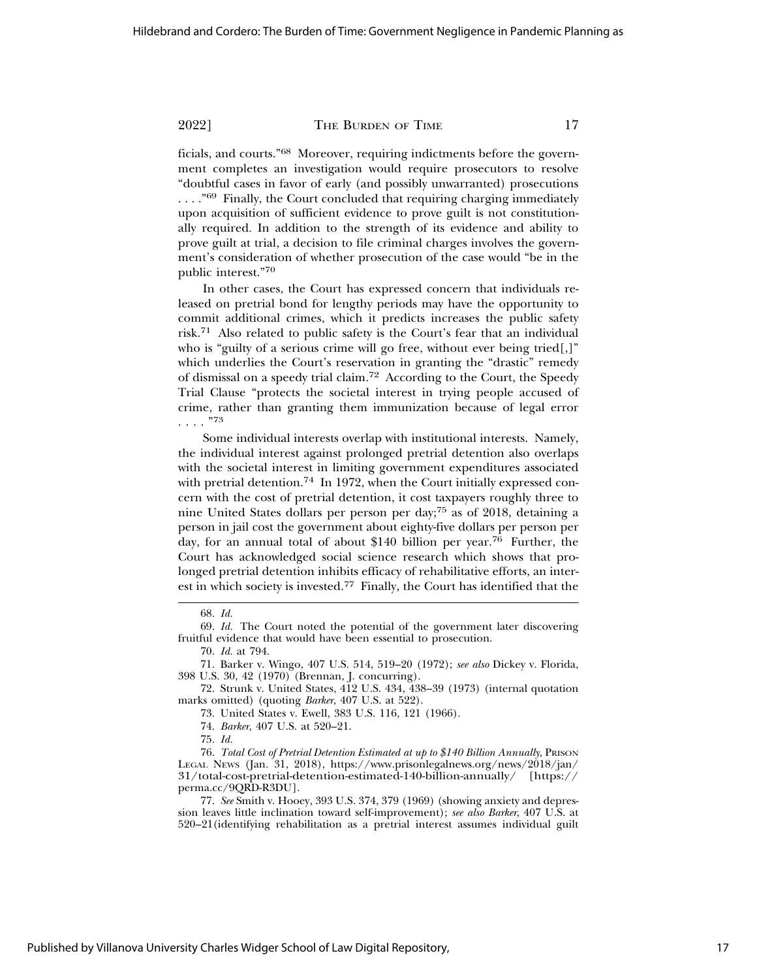ficials, and courts."68 Moreover, requiring indictments before the government completes an investigation would require prosecutors to resolve "doubtful cases in favor of early (and possibly unwarranted) prosecutions ...."<sup>69</sup> Finally, the Court concluded that requiring charging immediately upon acquisition of sufficient evidence to prove guilt is not constitutionally required. In addition to the strength of its evidence and ability to prove guilt at trial, a decision to file criminal charges involves the government's consideration of whether prosecution of the case would "be in the public interest."70

In other cases, the Court has expressed concern that individuals released on pretrial bond for lengthy periods may have the opportunity to commit additional crimes, which it predicts increases the public safety risk.71 Also related to public safety is the Court's fear that an individual who is "guilty of a serious crime will go free, without ever being tried[,]" which underlies the Court's reservation in granting the "drastic" remedy of dismissal on a speedy trial claim.72 According to the Court, the Speedy Trial Clause "protects the societal interest in trying people accused of crime, rather than granting them immunization because of legal error . . . . "<sup>73</sup>

Some individual interests overlap with institutional interests. Namely, the individual interest against prolonged pretrial detention also overlaps with the societal interest in limiting government expenditures associated with pretrial detention.<sup>74</sup> In 1972, when the Court initially expressed concern with the cost of pretrial detention, it cost taxpayers roughly three to nine United States dollars per person per day;75 as of 2018, detaining a person in jail cost the government about eighty-five dollars per person per day, for an annual total of about \$140 billion per year.<sup>76</sup> Further, the Court has acknowledged social science research which shows that prolonged pretrial detention inhibits efficacy of rehabilitative efforts, an interest in which society is invested.77 Finally, the Court has identified that the

<sup>68.</sup> *Id.*

<sup>69.</sup> *Id.* The Court noted the potential of the government later discovering fruitful evidence that would have been essential to prosecution.

<sup>70.</sup> *Id.* at 794.

<sup>71.</sup> Barker v. Wingo, 407 U.S. 514, 519–20 (1972); *see also* Dickey v. Florida, 398 U.S. 30, 42 (1970) (Brennan, J. concurring).

<sup>72.</sup> Strunk v. United States, 412 U.S. 434, 438–39 (1973) (internal quotation marks omitted) (quoting *Barker*, 407 U.S. at 522).

<sup>73.</sup> United States v. Ewell, 383 U.S. 116, 121 (1966).

<sup>74.</sup> *Barker*, 407 U.S. at 520–21.

<sup>75.</sup> *Id.*

<sup>76.</sup> *Total Cost of Pretrial Detention Estimated at up to \$140 Billion Annually*, PRISON LEGAL NEWS (Jan. 31, 2018), https://www.prisonlegalnews.org/news/2018/jan/ 31/total-cost-pretrial-detention-estimated-140-billion-annually/ [https:// perma.cc/9QRD-R3DU].

<sup>77.</sup> *See* Smith v. Hooey, 393 U.S. 374, 379 (1969) (showing anxiety and depression leaves little inclination toward self-improvement); *see also Barker*, 407 U.S. at 520–21(identifying rehabilitation as a pretrial interest assumes individual guilt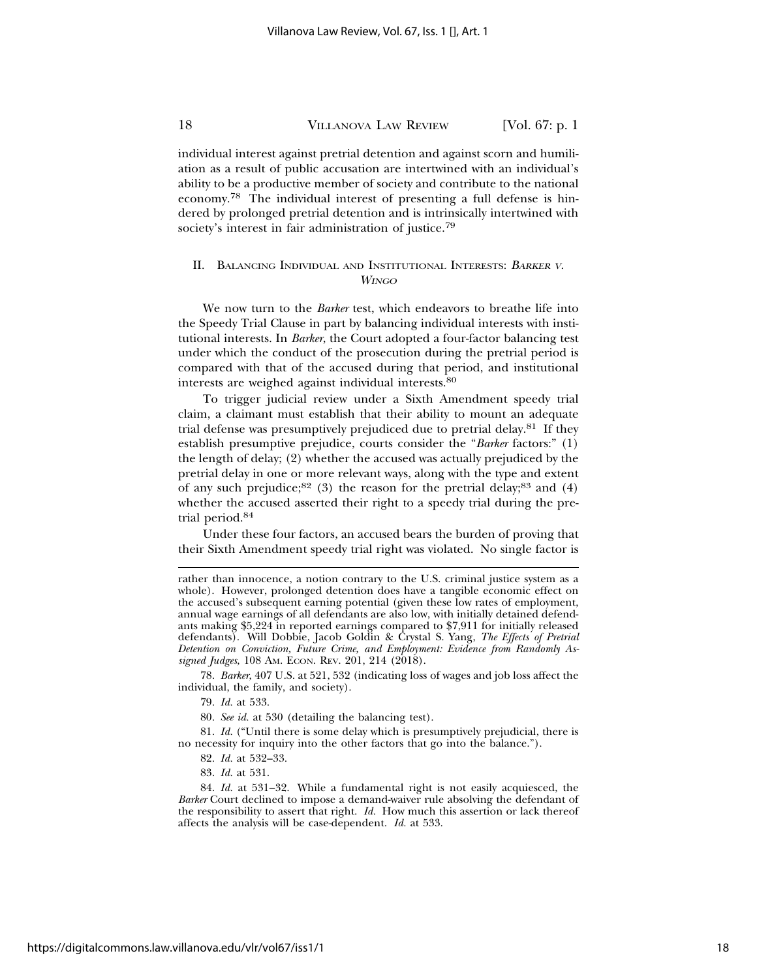individual interest against pretrial detention and against scorn and humiliation as a result of public accusation are intertwined with an individual's ability to be a productive member of society and contribute to the national economy.78 The individual interest of presenting a full defense is hindered by prolonged pretrial detention and is intrinsically intertwined with society's interest in fair administration of justice.<sup>79</sup>

#### II. BALANCING INDIVIDUAL AND INSTITUTIONAL INTERESTS: <sup>B</sup>ARKER <sup>V</sup>. WINGO

We now turn to the *Barker* test, which endeavors to breathe life into the Speedy Trial Clause in part by balancing individual interests with institutional interests. In *Barker*, the Court adopted a four-factor balancing test under which the conduct of the prosecution during the pretrial period is compared with that of the accused during that period, and institutional interests are weighed against individual interests.80

To trigger judicial review under a Sixth Amendment speedy trial claim, a claimant must establish that their ability to mount an adequate trial defense was presumptively prejudiced due to pretrial delay.81 If they establish presumptive prejudice, courts consider the "*Barker* factors:" (1) the length of delay; (2) whether the accused was actually prejudiced by the pretrial delay in one or more relevant ways, along with the type and extent of any such prejudice; $82$  (3) the reason for the pretrial delay; $83$  and (4) whether the accused asserted their right to a speedy trial during the pretrial period.84

Under these four factors, an accused bears the burden of proving that their Sixth Amendment speedy trial right was violated. No single factor is

78. *Barker*, 407 U.S. at 521, 532 (indicating loss of wages and job loss affect the individual, the family, and society).

79. *Id.* at 533.

80. *See id.* at 530 (detailing the balancing test).

81. *Id.* ("Until there is some delay which is presumptively prejudicial, there is no necessity for inquiry into the other factors that go into the balance.").

- 82. *Id.* at 532–33.
- 83. *Id.* at 531.

84. *Id.* at 531–32. While a fundamental right is not easily acquiesced, the *Barker* Court declined to impose a demand-waiver rule absolving the defendant of the responsibility to assert that right. *Id.* How much this assertion or lack thereof affects the analysis will be case-dependent. *Id.* at 533.

rather than innocence, a notion contrary to the U.S. criminal justice system as a whole). However, prolonged detention does have a tangible economic effect on the accused's subsequent earning potential (given these low rates of employment, annual wage earnings of all defendants are also low, with initially detained defendants making \$5,224 in reported earnings compared to \$7,911 for initially released defendants). Will Dobbie, Jacob Goldin & Crystal S. Yang, *The Effects of Pretrial Detention on Conviction, Future Crime, and Employment: Evidence from Randomly Assigned Judges*, 108 AM. ECON. REV. 201, 214 (2018).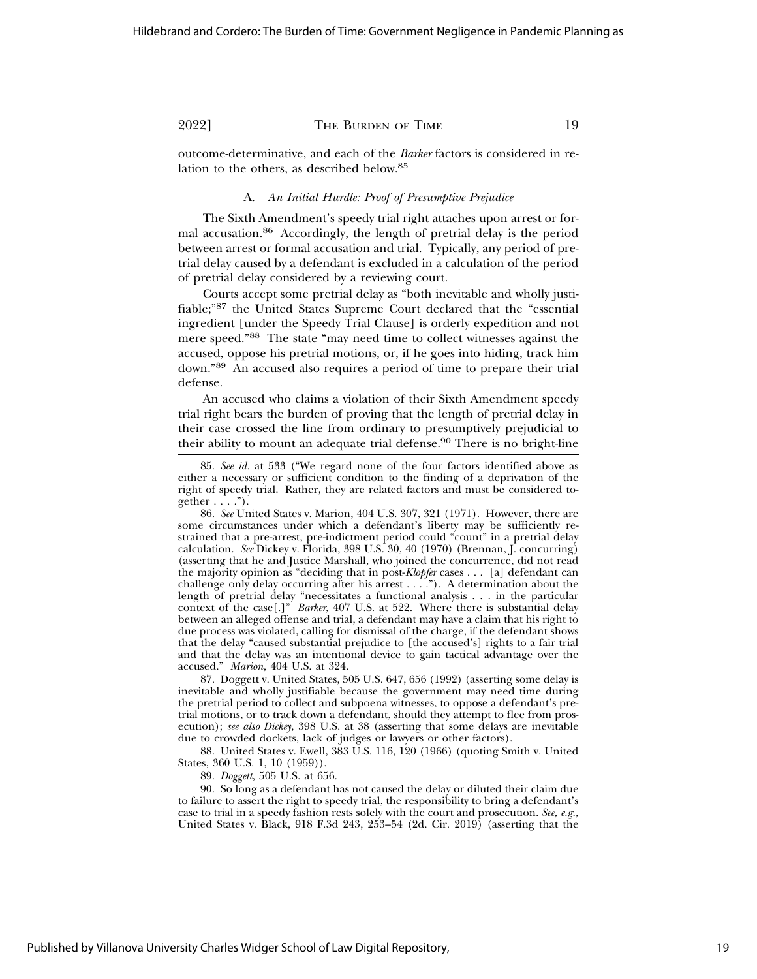outcome-determinative, and each of the *Barker* factors is considered in relation to the others, as described below.85

#### A. *An Initial Hurdle: Proof of Presumptive Prejudice*

The Sixth Amendment's speedy trial right attaches upon arrest or formal accusation.86 Accordingly, the length of pretrial delay is the period between arrest or formal accusation and trial. Typically, any period of pretrial delay caused by a defendant is excluded in a calculation of the period of pretrial delay considered by a reviewing court.

Courts accept some pretrial delay as "both inevitable and wholly justifiable;"87 the United States Supreme Court declared that the "essential ingredient [under the Speedy Trial Clause] is orderly expedition and not mere speed."88 The state "may need time to collect witnesses against the accused, oppose his pretrial motions, or, if he goes into hiding, track him down."89 An accused also requires a period of time to prepare their trial defense.

An accused who claims a violation of their Sixth Amendment speedy trial right bears the burden of proving that the length of pretrial delay in their case crossed the line from ordinary to presumptively prejudicial to their ability to mount an adequate trial defense.<sup>90</sup> There is no bright-line

87. Doggett v. United States, 505 U.S. 647, 656 (1992) (asserting some delay is inevitable and wholly justifiable because the government may need time during the pretrial period to collect and subpoena witnesses, to oppose a defendant's pretrial motions, or to track down a defendant, should they attempt to flee from prosecution); *see also Dickey*, 398 U.S. at 38 (asserting that some delays are inevitable due to crowded dockets, lack of judges or lawyers or other factors).

88. United States v. Ewell, 383 U.S. 116, 120 (1966) (quoting Smith v. United States, 360 U.S. 1, 10 (1959)).

89. *Doggett*, 505 U.S. at 656.

90. So long as a defendant has not caused the delay or diluted their claim due to failure to assert the right to speedy trial, the responsibility to bring a defendant's case to trial in a speedy fashion rests solely with the court and prosecution. *See, e.g.,* United States v. Black, 918 F.3d 243, 253–54 (2d. Cir. 2019) (asserting that the

<sup>85.</sup> *See id.* at 533 ("We regard none of the four factors identified above as either a necessary or sufficient condition to the finding of a deprivation of the right of speedy trial. Rather, they are related factors and must be considered together  $\dots$ .").

<sup>86.</sup> *See* United States v. Marion, 404 U.S. 307, 321 (1971). However, there are some circumstances under which a defendant's liberty may be sufficiently restrained that a pre-arrest, pre-indictment period could "count" in a pretrial delay calculation. *See* Dickey v. Florida, 398 U.S. 30, 40 (1970) (Brennan, J. concurring) (asserting that he and Justice Marshall, who joined the concurrence, did not read the majority opinion as "deciding that in post-*Klopfer* cases . . . [a] defendant can challenge only delay occurring after his arrest . . . ."). A determination about the length of pretrial delay "necessitates a functional analysis . . . in the particular context of the case[.]" *Barker*, 407 U.S. at 522. Where there is substantial delay between an alleged offense and trial, a defendant may have a claim that his right to due process was violated, calling for dismissal of the charge, if the defendant shows that the delay "caused substantial prejudice to [the accused's] rights to a fair trial and that the delay was an intentional device to gain tactical advantage over the accused." *Marion,* 404 U.S. at 324.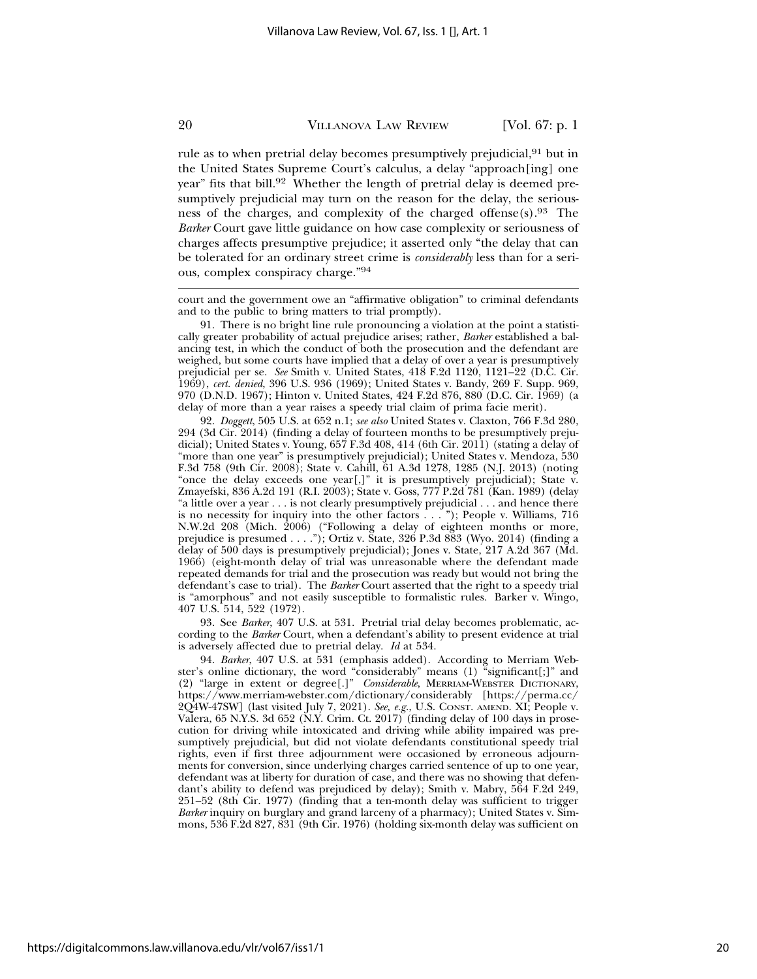rule as to when pretrial delay becomes presumptively prejudicial,<sup>91</sup> but in the United States Supreme Court's calculus, a delay "approach[ing] one year" fits that bill.<sup>92</sup> Whether the length of pretrial delay is deemed presumptively prejudicial may turn on the reason for the delay, the seriousness of the charges, and complexity of the charged offense(s).93 The *Barker* Court gave little guidance on how case complexity or seriousness of charges affects presumptive prejudice; it asserted only "the delay that can be tolerated for an ordinary street crime is *considerably* less than for a serious, complex conspiracy charge."94

court and the government owe an "affirmative obligation" to criminal defendants and to the public to bring matters to trial promptly).

91. There is no bright line rule pronouncing a violation at the point a statistically greater probability of actual prejudice arises; rather, *Barker* established a balancing test, in which the conduct of both the prosecution and the defendant are weighed, but some courts have implied that a delay of over a year is presumptively prejudicial per se. *See* Smith v. United States, 418 F.2d 1120, 1121–22 (D.C. Cir. 1969), *cert. denied*, 396 U.S. 936 (1969); United States v. Bandy, 269 F. Supp. 969, 970 (D.N.D. 1967); Hinton v. United States, 424 F.2d 876, 880 (D.C. Cir. 1969) (a delay of more than a year raises a speedy trial claim of prima facie merit).

92. *Doggett*, 505 U.S. at 652 n.1; *see also* United States v. Claxton, 766 F.3d 280, 294 (3d Cir. 2014) (finding a delay of fourteen months to be presumptively prejudicial); United States v. Young, 657 F.3d 408, 414 (6th Cir. 2011) (stating a delay of "more than one year" is presumptively prejudicial); United States v. Mendoza, 530 F.3d 758 (9th Cir. 2008); State v. Cahill, 61 A.3d 1278, 1285 (N.J. 2013) (noting "once the delay exceeds one year[,]" it is presumptively prejudicial); State v. Zmayefski, 836 A.2d 191 (R.I. 2003); State v. Goss, 777 P.2d 781 (Kan. 1989) (delay "a little over a year . . . is not clearly presumptively prejudicial . . . and hence there is no necessity for inquiry into the other factors . . . "); People v. Williams, 716 N.W.2d 208 (Mich. 2006) ("Following a delay of eighteen months or more, prejudice is presumed . . . ."); Ortiz v. State, 326 P.3d 883 (Wyo. 2014) (finding a delay of 500 days is presumptively prejudicial); Jones v. State, 217 A.2d 367 (Md. 1966) (eight-month delay of trial was unreasonable where the defendant made repeated demands for trial and the prosecution was ready but would not bring the defendant's case to trial). The *Barker* Court asserted that the right to a speedy trial is "amorphous" and not easily susceptible to formalistic rules. Barker v. Wingo, 407 U.S. 514, 522 (1972).

93. See *Barker*, 407 U.S. at 531. Pretrial trial delay becomes problematic, according to the *Barker* Court, when a defendant's ability to present evidence at trial is adversely affected due to pretrial delay. *Id* at 534.

94. *Barker*, 407 U.S. at 531 (emphasis added). According to Merriam Webster's online dictionary, the word "considerably" means (1) "significant[;]" and (2) "large in extent or degree[.]" *Considerable*, MERRIAM-WEBSTER DICTIONARY, https://www.merriam-webster.com/dictionary/considerably [https://perma.cc/ 2Q4W-47SW] (last visited July 7, 2021). *See, e.g.*, U.S. CONST. AMEND. XI; People v. Valera, 65 N.Y.S. 3d 652 (N.Y. Crim. Ct. 2017) (finding delay of 100 days in prosecution for driving while intoxicated and driving while ability impaired was presumptively prejudicial, but did not violate defendants constitutional speedy trial rights, even if first three adjournment were occasioned by erroneous adjournments for conversion, since underlying charges carried sentence of up to one year, defendant was at liberty for duration of case, and there was no showing that defendant's ability to defend was prejudiced by delay); Smith v. Mabry, 564 F.2d 249, 251–52 (8th Cir. 1977) (finding that a ten-month delay was sufficient to trigger *Barker* inquiry on burglary and grand larceny of a pharmacy); United States v. Simmons, 536 F.2d 827, 831 (9th Cir. 1976) (holding six-month delay was sufficient on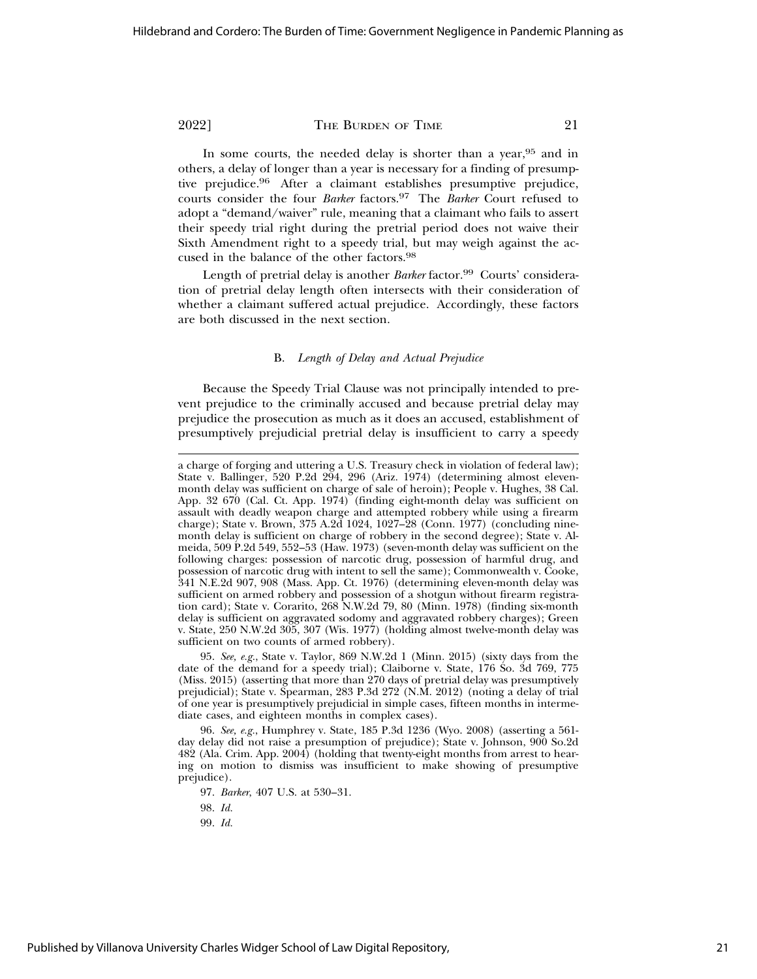In some courts, the needed delay is shorter than a year, <sup>95</sup> and in others, a delay of longer than a year is necessary for a finding of presumptive prejudice.96 After a claimant establishes presumptive prejudice, courts consider the four *Barker* factors.97 The *Barker* Court refused to adopt a "demand/waiver" rule, meaning that a claimant who fails to assert their speedy trial right during the pretrial period does not waive their Sixth Amendment right to a speedy trial, but may weigh against the accused in the balance of the other factors.98

Length of pretrial delay is another *Barker* factor.<sup>99</sup> Courts' consideration of pretrial delay length often intersects with their consideration of whether a claimant suffered actual prejudice. Accordingly, these factors are both discussed in the next section.

#### B. *Length of Delay and Actual Prejudice*

Because the Speedy Trial Clause was not principally intended to prevent prejudice to the criminally accused and because pretrial delay may prejudice the prosecution as much as it does an accused, establishment of presumptively prejudicial pretrial delay is insufficient to carry a speedy

95. *See, e.g.*, State v. Taylor, 869 N.W.2d 1 (Minn. 2015) (sixty days from the date of the demand for a speedy trial); Claiborne v. State, 176 So. 3d 769, 775 (Miss. 2015) (asserting that more than 270 days of pretrial delay was presumptively prejudicial); State v. Spearman, 283 P.3d 272 (N.M. 2012) (noting a delay of trial of one year is presumptively prejudicial in simple cases, fifteen months in intermediate cases, and eighteen months in complex cases).

96. *See, e.g.*, Humphrey v. State, 185 P.3d 1236 (Wyo. 2008) (asserting a 561 day delay did not raise a presumption of prejudice); State v. Johnson, 900 So.2d 482 (Ala. Crim. App. 2004) (holding that twenty-eight months from arrest to hearing on motion to dismiss was insufficient to make showing of presumptive prejudice).

97. *Barker*, 407 U.S. at 530–31.

98. *Id.*

99. *Id.*

a charge of forging and uttering a U.S. Treasury check in violation of federal law); State v. Ballinger, 520 P.2d 294, 296 (Ariz. 1974) (determining almost elevenmonth delay was sufficient on charge of sale of heroin); People v. Hughes, 38 Cal. App. 32 670 (Cal. Ct. App. 1974) (finding eight-month delay was sufficient on assault with deadly weapon charge and attempted robbery while using a firearm charge); State v. Brown, 375 A.2d 1024, 1027–28 (Conn. 1977) (concluding ninemonth delay is sufficient on charge of robbery in the second degree); State v. Almeida, 509 P.2d 549, 552–53 (Haw. 1973) (seven-month delay was sufficient on the following charges: possession of narcotic drug, possession of harmful drug, and possession of narcotic drug with intent to sell the same); Commonwealth v. Cooke, 341 N.E.2d 907, 908 (Mass. App. Ct. 1976) (determining eleven-month delay was sufficient on armed robbery and possession of a shotgun without firearm registration card); State v. Corarito, 268 N.W.2d 79, 80 (Minn. 1978) (finding six-month delay is sufficient on aggravated sodomy and aggravated robbery charges); Green v. State, 250 N.W.2d 305, 307 (Wis. 1977) (holding almost twelve-month delay was sufficient on two counts of armed robbery).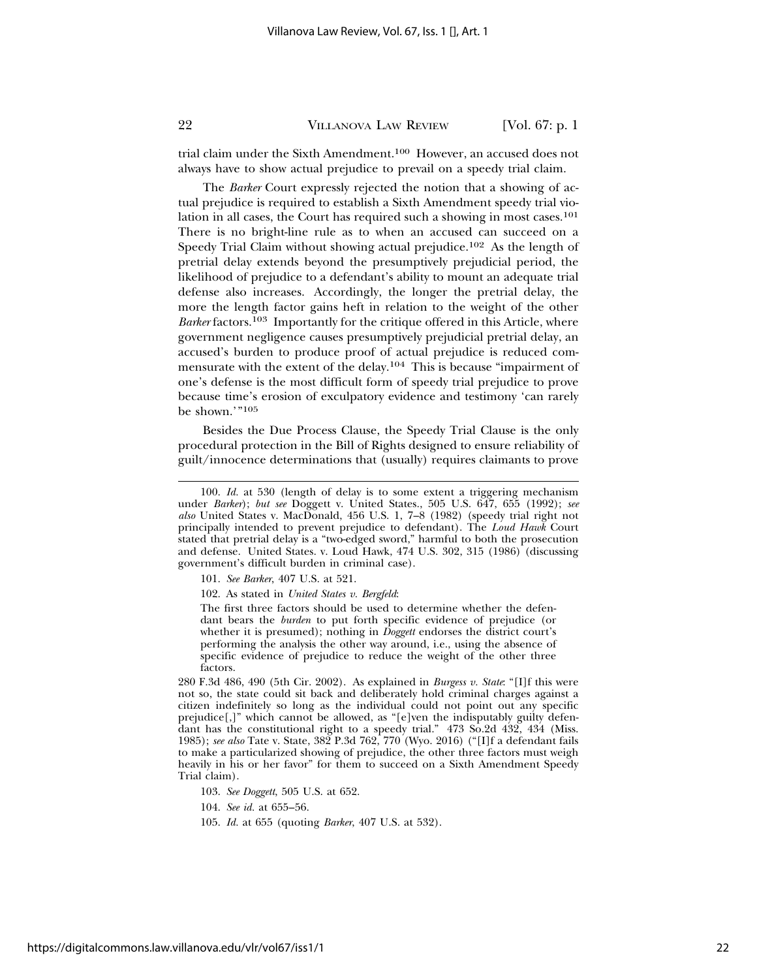trial claim under the Sixth Amendment.<sup>100</sup> However, an accused does not always have to show actual prejudice to prevail on a speedy trial claim.

The *Barker* Court expressly rejected the notion that a showing of actual prejudice is required to establish a Sixth Amendment speedy trial violation in all cases, the Court has required such a showing in most cases.101 There is no bright-line rule as to when an accused can succeed on a Speedy Trial Claim without showing actual prejudice.102 As the length of pretrial delay extends beyond the presumptively prejudicial period, the likelihood of prejudice to a defendant's ability to mount an adequate trial defense also increases. Accordingly, the longer the pretrial delay, the more the length factor gains heft in relation to the weight of the other *Barker* factors.103 Importantly for the critique offered in this Article, where government negligence causes presumptively prejudicial pretrial delay, an accused's burden to produce proof of actual prejudice is reduced commensurate with the extent of the delay.104 This is because "impairment of one's defense is the most difficult form of speedy trial prejudice to prove because time's erosion of exculpatory evidence and testimony 'can rarely be shown.'"105

Besides the Due Process Clause, the Speedy Trial Clause is the only procedural protection in the Bill of Rights designed to ensure reliability of guilt/innocence determinations that (usually) requires claimants to prove

The first three factors should be used to determine whether the defendant bears the *burden* to put forth specific evidence of prejudice (or whether it is presumed); nothing in *Doggett* endorses the district court's performing the analysis the other way around, i.e., using the absence of specific evidence of prejudice to reduce the weight of the other three factors.

280 F.3d 486, 490 (5th Cir. 2002). As explained in *Burgess v. State*: "[I]f this were not so, the state could sit back and deliberately hold criminal charges against a citizen indefinitely so long as the individual could not point out any specific prejudice[,]" which cannot be allowed, as "[e]ven the indisputably guilty defendant has the constitutional right to a speedy trial." 473 So.2d 432, 434 (Miss. 1985); *see also* Tate v. State, 382 P.3d 762, 770 (Wyo. 2016) ("[I]f a defendant fails to make a particularized showing of prejudice, the other three factors must weigh heavily in his or her favor" for them to succeed on a Sixth Amendment Speedy Trial claim).

103. *See Doggett*, 505 U.S. at 652.

104. *See id.* at 655–56.

<sup>100.</sup> *Id.* at 530 (length of delay is to some extent a triggering mechanism under *Barker*); *but see* Doggett v. United States., 505 U.S. 647, 655 (1992); *see* also United States v. MacDonald, 456 U.S. 1, 7-8 (1982) (speedy trial right not principally intended to prevent prejudice to defendant). The *Loud Hawk* Court stated that pretrial delay is a "two-edged sword," harmful to both the prosecution and defense. United States. v. Loud Hawk, 474 U.S. 302, 315 (1986) (discussing government's difficult burden in criminal case).

<sup>101.</sup> *See Barker*, 407 U.S. at 521.

<sup>102.</sup> As stated in *United States v. Bergfeld*:

<sup>105.</sup> *Id.* at 655 (quoting *Barker*, 407 U.S. at 532).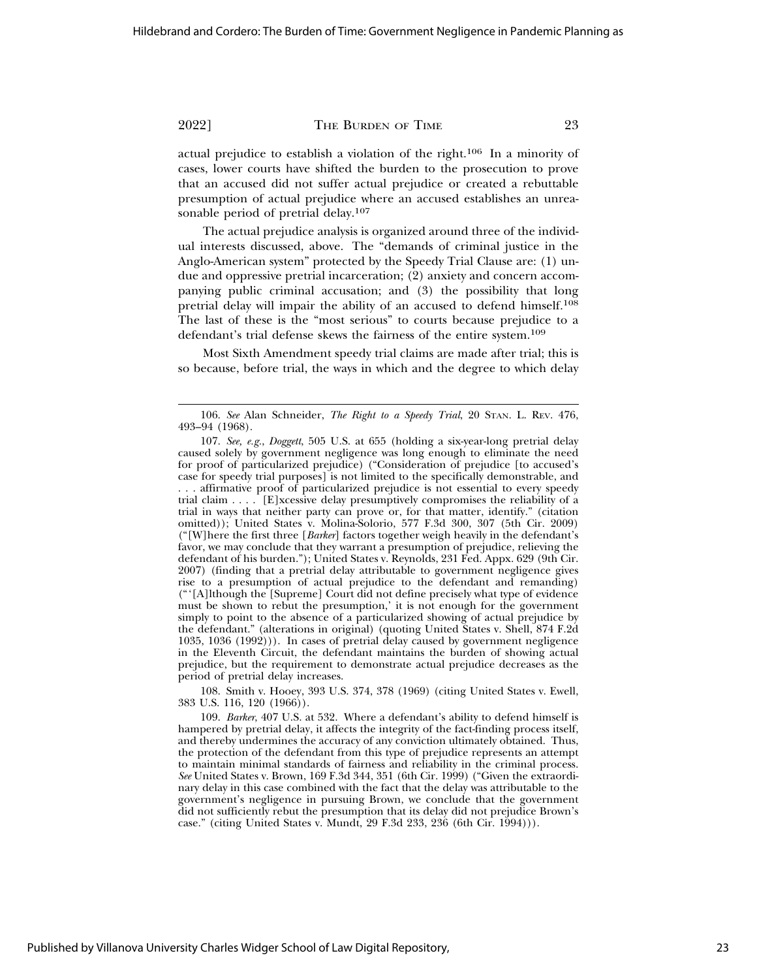actual prejudice to establish a violation of the right.106 In a minority of cases, lower courts have shifted the burden to the prosecution to prove that an accused did not suffer actual prejudice or created a rebuttable presumption of actual prejudice where an accused establishes an unreasonable period of pretrial delay.<sup>107</sup>

The actual prejudice analysis is organized around three of the individual interests discussed, above. The "demands of criminal justice in the Anglo-American system" protected by the Speedy Trial Clause are: (1) undue and oppressive pretrial incarceration; (2) anxiety and concern accompanying public criminal accusation; and (3) the possibility that long pretrial delay will impair the ability of an accused to defend himself.108 The last of these is the "most serious" to courts because prejudice to a defendant's trial defense skews the fairness of the entire system.109

Most Sixth Amendment speedy trial claims are made after trial; this is so because, before trial, the ways in which and the degree to which delay

108. Smith v. Hooey, 393 U.S. 374, 378 (1969) (citing United States v. Ewell, 383 U.S. 116, 120 (1966)).

109. *Barker*, 407 U.S. at 532. Where a defendant's ability to defend himself is hampered by pretrial delay, it affects the integrity of the fact-finding process itself, and thereby undermines the accuracy of any conviction ultimately obtained. Thus, the protection of the defendant from this type of prejudice represents an attempt to maintain minimal standards of fairness and reliability in the criminal process. *See* United States v. Brown, 169 F.3d 344, 351 (6th Cir. 1999) ("Given the extraordinary delay in this case combined with the fact that the delay was attributable to the government's negligence in pursuing Brown, we conclude that the government did not sufficiently rebut the presumption that its delay did not prejudice Brown's case." (citing United States v. Mundt, 29 F.3d 233, 236 (6th Cir. 1994))).

<sup>106.</sup> *See* Alan Schneider, *The Right to a Speedy Trial*, 20 STAN. L. REV. 476, 493–94 (1968).

<sup>107.</sup> *See, e.g.*, *Doggett*, 505 U.S. at 655 (holding a six-year-long pretrial delay caused solely by government negligence was long enough to eliminate the need for proof of particularized prejudice) ("Consideration of prejudice [to accused's case for speedy trial purposes] is not limited to the specifically demonstrable, and . . . affirmative proof of particularized prejudice is not essential to every speedy trial claim . . . . [E]xcessive delay presumptively compromises the reliability of a trial in ways that neither party can prove or, for that matter, identify." (citation omitted)); United States v. Molina-Solorio, 577 F.3d 300, 307 (5th Cir. 2009) ("[W]here the first three [*Barker*] factors together weigh heavily in the defendant's favor, we may conclude that they warrant a presumption of prejudice, relieving the defendant of his burden."); United States v. Reynolds, 231 Fed. Appx. 629 (9th Cir. 2007) (finding that a pretrial delay attributable to government negligence gives rise to a presumption of actual prejudice to the defendant and remanding) ("'[A]lthough the [Supreme] Court did not define precisely what type of evidence must be shown to rebut the presumption,' it is not enough for the government simply to point to the absence of a particularized showing of actual prejudice by the defendant." (alterations in original) (quoting United States v. Shell, 874 F.2d 1035, 1036 (1992))). In cases of pretrial delay caused by government negligence in the Eleventh Circuit, the defendant maintains the burden of showing actual prejudice, but the requirement to demonstrate actual prejudice decreases as the period of pretrial delay increases.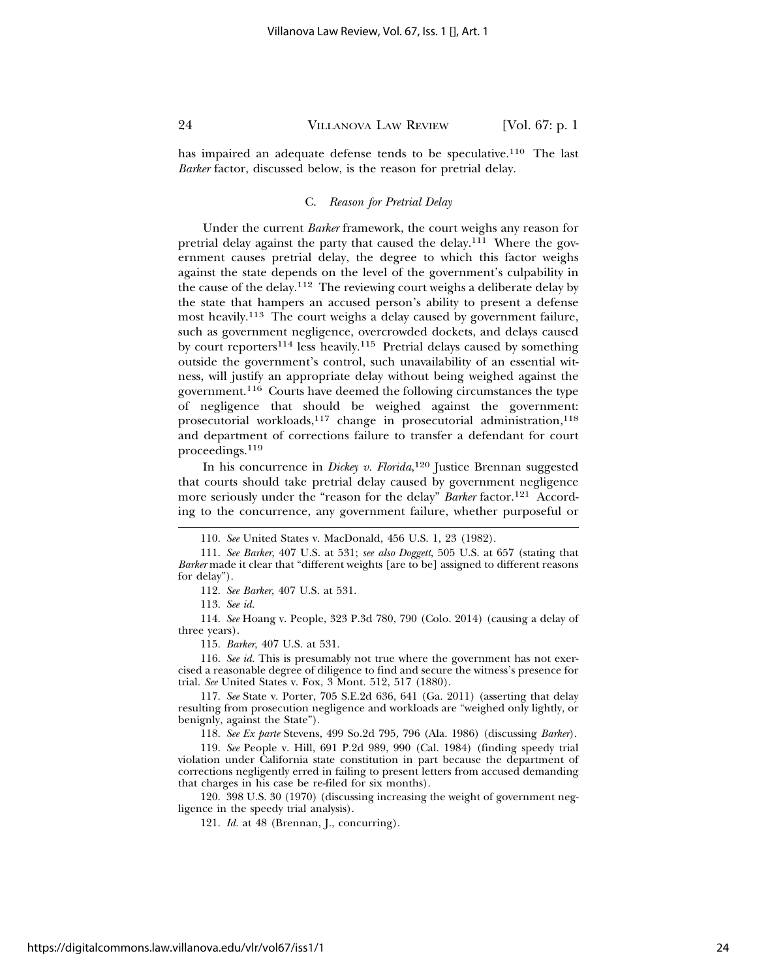has impaired an adequate defense tends to be speculative.<sup>110</sup> The last *Barker* factor, discussed below, is the reason for pretrial delay.

#### C. *Reason for Pretrial Delay*

Under the current *Barker* framework, the court weighs any reason for pretrial delay against the party that caused the delay.111 Where the government causes pretrial delay, the degree to which this factor weighs against the state depends on the level of the government's culpability in the cause of the delay.112 The reviewing court weighs a deliberate delay by the state that hampers an accused person's ability to present a defense most heavily.<sup>113</sup> The court weighs a delay caused by government failure, such as government negligence, overcrowded dockets, and delays caused by court reporters<sup>114</sup> less heavily.<sup>115</sup> Pretrial delays caused by something outside the government's control, such unavailability of an essential witness, will justify an appropriate delay without being weighed against the government.116 Courts have deemed the following circumstances the type of negligence that should be weighed against the government: prosecutorial workloads,<sup>117</sup> change in prosecutorial administration,<sup>118</sup> and department of corrections failure to transfer a defendant for court proceedings.<sup>119</sup>

In his concurrence in *Dickey v. Florida*, 120 Justice Brennan suggested that courts should take pretrial delay caused by government negligence more seriously under the "reason for the delay" *Barker* factor.<sup>121</sup> According to the concurrence, any government failure, whether purposeful or

112. *See Barker*, 407 U.S. at 531.

113. *See id.*

114. *See* Hoang v. People, 323 P.3d 780, 790 (Colo. 2014) (causing a delay of three years).

115. *Barker*, 407 U.S. at 531.

116. *See id.* This is presumably not true where the government has not exercised a reasonable degree of diligence to find and secure the witness's presence for trial. *See* United States v. Fox, 3 Mont. 512, 517 (1880).

117. *See* State v. Porter, 705 S.E.2d 636, 641 (Ga. 2011) (asserting that delay resulting from prosecution negligence and workloads are "weighed only lightly, or benignly, against the State").

118. *See Ex parte* Stevens, 499 So.2d 795, 796 (Ala. 1986) (discussing *Barker*).

119. *See* People v. Hill, 691 P.2d 989, 990 (Cal. 1984) (finding speedy trial violation under California state constitution in part because the department of corrections negligently erred in failing to present letters from accused demanding that charges in his case be re-filed for six months).

120. 398 U.S. 30 (1970) (discussing increasing the weight of government negligence in the speedy trial analysis).

121. *Id.* at 48 (Brennan, J., concurring).

<sup>110.</sup> *See* United States v. MacDonald, 456 U.S. 1, 23 (1982).

<sup>111.</sup> *See Barker*, 407 U.S. at 531; *see also Doggett*, 505 U.S. at 657 (stating that *Barker* made it clear that "different weights [are to be] assigned to different reasons for delay").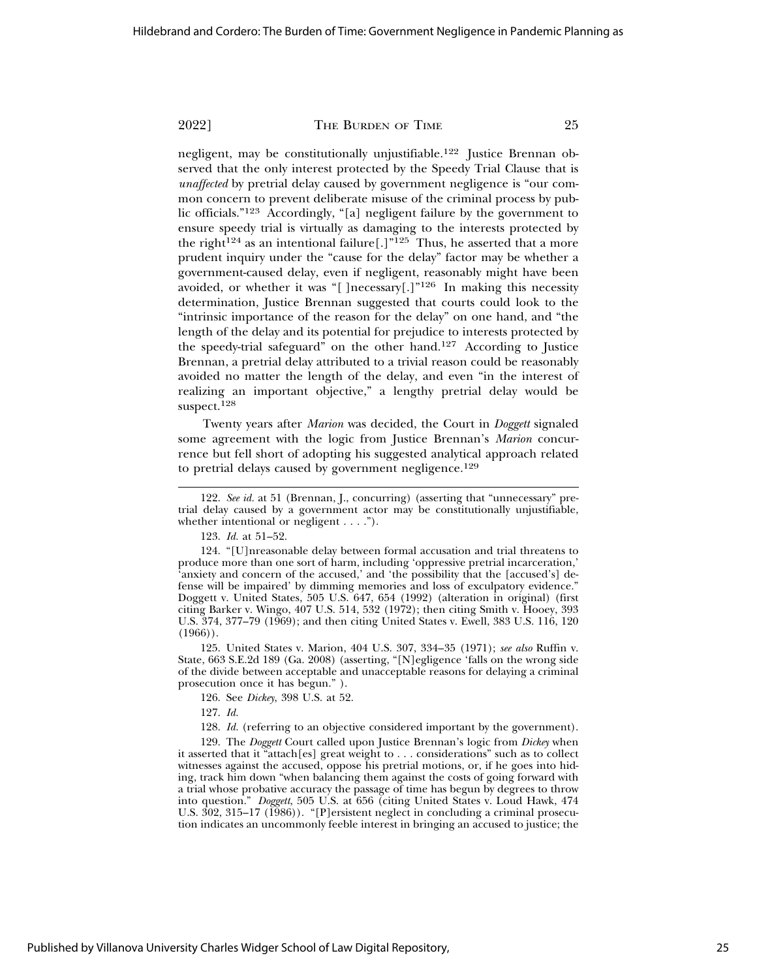negligent, may be constitutionally unjustifiable.<sup>122</sup> Justice Brennan observed that the only interest protected by the Speedy Trial Clause that is *unaffected* by pretrial delay caused by government negligence is "our common concern to prevent deliberate misuse of the criminal process by public officials."123 Accordingly, "[a] negligent failure by the government to ensure speedy trial is virtually as damaging to the interests protected by the right<sup>124</sup> as an intentional failure<sup>[1]</sup><sup>125</sup> Thus, he asserted that a more prudent inquiry under the "cause for the delay" factor may be whether a government-caused delay, even if negligent, reasonably might have been avoided, or whether it was "[ ]necessary[.]"126 In making this necessity determination, Justice Brennan suggested that courts could look to the "intrinsic importance of the reason for the delay" on one hand, and "the length of the delay and its potential for prejudice to interests protected by the speedy-trial safeguard" on the other hand.127 According to Justice Brennan, a pretrial delay attributed to a trivial reason could be reasonably avoided no matter the length of the delay, and even "in the interest of realizing an important objective," a lengthy pretrial delay would be suspect.<sup>128</sup>

Twenty years after *Marion* was decided, the Court in *Doggett* signaled some agreement with the logic from Justice Brennan's *Marion* concurrence but fell short of adopting his suggested analytical approach related to pretrial delays caused by government negligence.<sup>129</sup>

124. "[U]nreasonable delay between formal accusation and trial threatens to produce more than one sort of harm, including 'oppressive pretrial incarceration,' 'anxiety and concern of the accused,' and 'the possibility that the [accused's] defense will be impaired' by dimming memories and loss of exculpatory evidence." Doggett v. United States, 505 U.S. 647, 654 (1992) (alteration in original) (first citing Barker v. Wingo, 407 U.S. 514, 532 (1972); then citing Smith v. Hooey, 393 U.S. 374, 377–79 (1969); and then citing United States v. Ewell, 383 U.S. 116, 120  $(1966)$ ).

125. United States v. Marion, 404 U.S. 307, 334–35 (1971); *see also* Ruffin v. State, 663 S.E.2d 189 (Ga. 2008) (asserting, "[N]egligence 'falls on the wrong side of the divide between acceptable and unacceptable reasons for delaying a criminal prosecution once it has begun." ).

126. See *Dickey*, 398 U.S. at 52.

127. *Id.*

128. *Id.* (referring to an objective considered important by the government).

129. The *Doggett* Court called upon Justice Brennan's logic from *Dickey* when it asserted that it "attach[es] great weight to . . . considerations" such as to collect witnesses against the accused, oppose his pretrial motions, or, if he goes into hiding, track him down "when balancing them against the costs of going forward with a trial whose probative accuracy the passage of time has begun by degrees to throw into question." *Doggett*, 505 U.S. at 656 (citing United States v. Loud Hawk, 474 U.S. 302, 315–17 (1986)). "[P]ersistent neglect in concluding a criminal prosecution indicates an uncommonly feeble interest in bringing an accused to justice; the

<sup>122.</sup> *See id.* at 51 (Brennan, J., concurring) (asserting that "unnecessary" pretrial delay caused by a government actor may be constitutionally unjustifiable, whether intentional or negligent . . . .").

<sup>123.</sup> *Id.* at 51–52.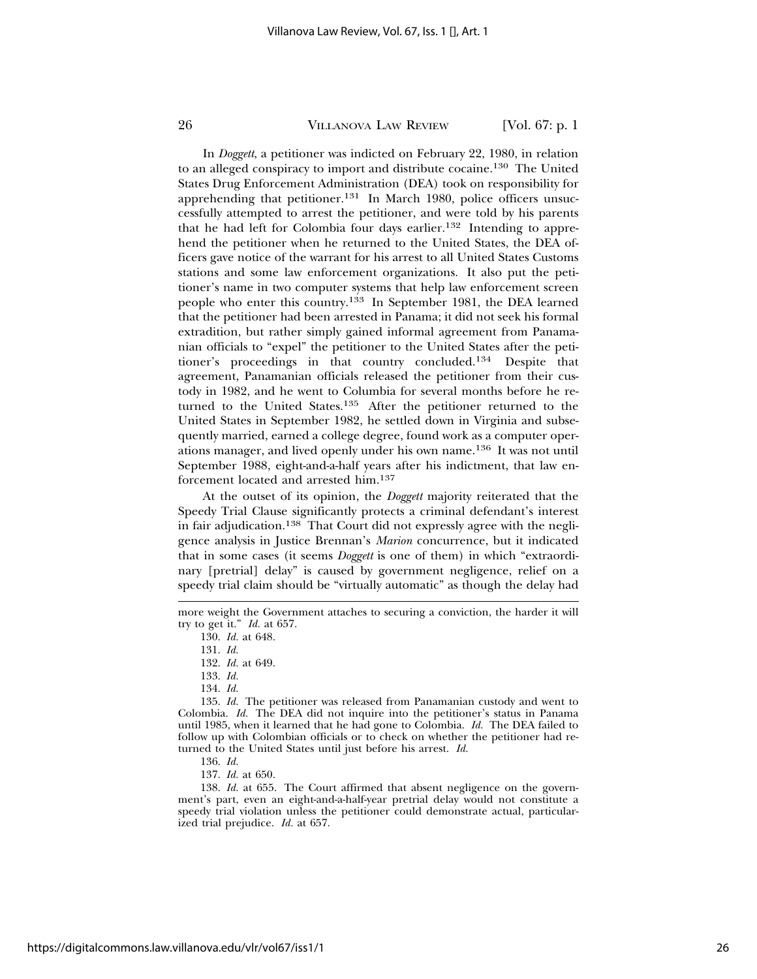In *Doggett*, a petitioner was indicted on February 22, 1980, in relation to an alleged conspiracy to import and distribute cocaine.130 The United States Drug Enforcement Administration (DEA) took on responsibility for apprehending that petitioner.131 In March 1980, police officers unsuccessfully attempted to arrest the petitioner, and were told by his parents that he had left for Colombia four days earlier.132 Intending to apprehend the petitioner when he returned to the United States, the DEA officers gave notice of the warrant for his arrest to all United States Customs stations and some law enforcement organizations. It also put the petitioner's name in two computer systems that help law enforcement screen people who enter this country.133 In September 1981, the DEA learned that the petitioner had been arrested in Panama; it did not seek his formal extradition, but rather simply gained informal agreement from Panamanian officials to "expel" the petitioner to the United States after the petitioner's proceedings in that country concluded.134 Despite that agreement, Panamanian officials released the petitioner from their custody in 1982, and he went to Columbia for several months before he returned to the United States.135 After the petitioner returned to the United States in September 1982, he settled down in Virginia and subsequently married, earned a college degree, found work as a computer operations manager, and lived openly under his own name.136 It was not until September 1988, eight-and-a-half years after his indictment, that law enforcement located and arrested him.137

At the outset of its opinion, the *Doggett* majority reiterated that the Speedy Trial Clause significantly protects a criminal defendant's interest in fair adjudication.<sup>138</sup> That Court did not expressly agree with the negligence analysis in Justice Brennan's *Marion* concurrence, but it indicated that in some cases (it seems *Doggett* is one of them) in which "extraordinary [pretrial] delay" is caused by government negligence, relief on a speedy trial claim should be "virtually automatic" as though the delay had

- 133. *Id.*
- 134. *Id.*

135. *Id.* The petitioner was released from Panamanian custody and went to Colombia. *Id.* The DEA did not inquire into the petitioner's status in Panama until 1985, when it learned that he had gone to Colombia. *Id.* The DEA failed to follow up with Colombian officials or to check on whether the petitioner had returned to the United States until just before his arrest. *Id.*

136. *Id.*

137. *Id.* at 650.

138. *Id.* at 655. The Court affirmed that absent negligence on the government's part, even an eight-and-a-half-year pretrial delay would not constitute a speedy trial violation unless the petitioner could demonstrate actual, particularized trial prejudice. *Id.* at 657.

more weight the Government attaches to securing a conviction, the harder it will try to get it." *Id.* at 657.

<sup>130.</sup> *Id.* at 648.

<sup>131.</sup> *Id.*

<sup>132.</sup> *Id.* at 649.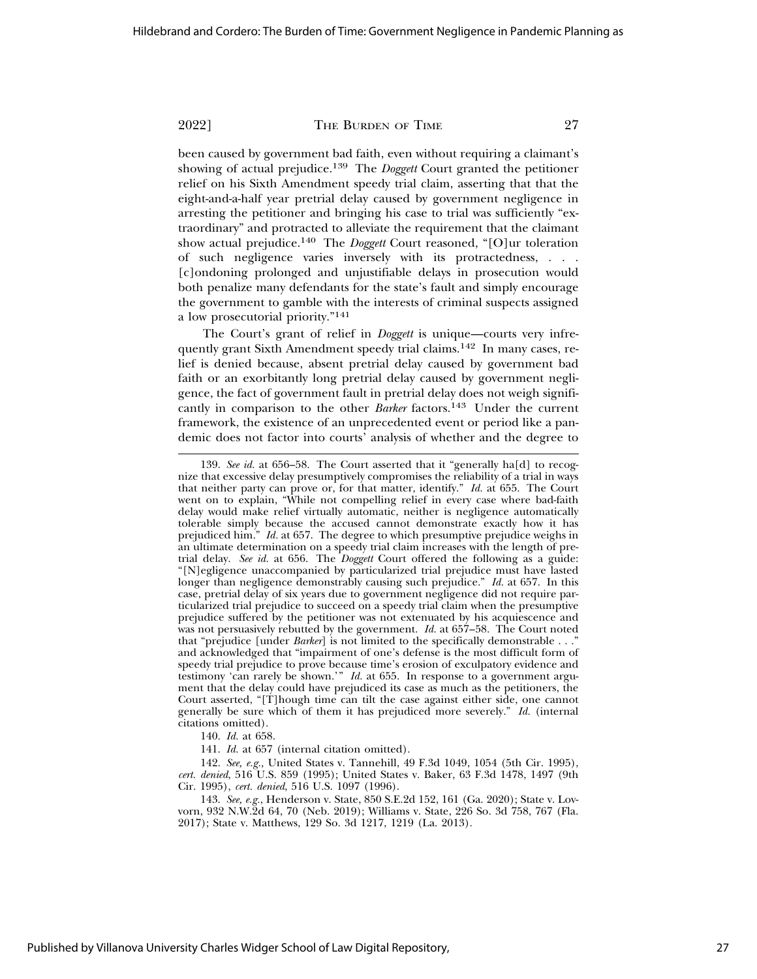been caused by government bad faith, even without requiring a claimant's showing of actual prejudice.139 The *Doggett* Court granted the petitioner relief on his Sixth Amendment speedy trial claim, asserting that that the eight-and-a-half year pretrial delay caused by government negligence in arresting the petitioner and bringing his case to trial was sufficiently "extraordinary" and protracted to alleviate the requirement that the claimant show actual prejudice.140 The *Doggett* Court reasoned, "[O]ur toleration of such negligence varies inversely with its protractedness, . . . [c]ondoning prolonged and unjustifiable delays in prosecution would both penalize many defendants for the state's fault and simply encourage the government to gamble with the interests of criminal suspects assigned a low prosecutorial priority."141

The Court's grant of relief in *Doggett* is unique—courts very infrequently grant Sixth Amendment speedy trial claims.142 In many cases, relief is denied because, absent pretrial delay caused by government bad faith or an exorbitantly long pretrial delay caused by government negligence, the fact of government fault in pretrial delay does not weigh significantly in comparison to the other *Barker* factors.<sup>143</sup> Under the current framework, the existence of an unprecedented event or period like a pandemic does not factor into courts' analysis of whether and the degree to

<sup>139.</sup> *See id.* at 656–58. The Court asserted that it "generally ha[d] to recognize that excessive delay presumptively compromises the reliability of a trial in ways that neither party can prove or, for that matter, identify." *Id.* at 655. The Court went on to explain, "While not compelling relief in every case where bad-faith delay would make relief virtually automatic, neither is negligence automatically tolerable simply because the accused cannot demonstrate exactly how it has prejudiced him." *Id.* at 657. The degree to which presumptive prejudice weighs in an ultimate determination on a speedy trial claim increases with the length of pretrial delay. *See id.* at 656. The *Doggett* Court offered the following as a guide: "[N]egligence unaccompanied by particularized trial prejudice must have lasted longer than negligence demonstrably causing such prejudice." *Id.* at 657. In this case, pretrial delay of six years due to government negligence did not require particularized trial prejudice to succeed on a speedy trial claim when the presumptive prejudice suffered by the petitioner was not extenuated by his acquiescence and was not persuasively rebutted by the government. *Id.* at 657–58. The Court noted that "prejudice [under *Barker*] is not limited to the specifically demonstrable . . ." and acknowledged that "impairment of one's defense is the most difficult form of speedy trial prejudice to prove because time's erosion of exculpatory evidence and testimony 'can rarely be shown.'" *Id.* at 655. In response to a government argument that the delay could have prejudiced its case as much as the petitioners, the Court asserted, "[T]hough time can tilt the case against either side, one cannot generally be sure which of them it has prejudiced more severely." *Id.* (internal citations omitted).

<sup>140.</sup> *Id.* at 658.

<sup>141.</sup> *Id.* at 657 (internal citation omitted).

<sup>142.</sup> *See, e.g.,* United States v. Tannehill, 49 F.3d 1049, 1054 (5th Cir. 1995), *cert. denied*, 516 U.S. 859 (1995); United States v. Baker, 63 F.3d 1478, 1497 (9th Cir. 1995), *cert. denied*, 516 U.S. 1097 (1996).

<sup>143.</sup> *See, e.g.*, Henderson v. State, 850 S.E.2d 152, 161 (Ga. 2020); State v. Lovvorn, 932 N.W.2d 64, 70 (Neb. 2019); Williams v. State, 226 So. 3d 758, 767 (Fla. 2017); State v. Matthews, 129 So. 3d 1217, 1219 (La. 2013).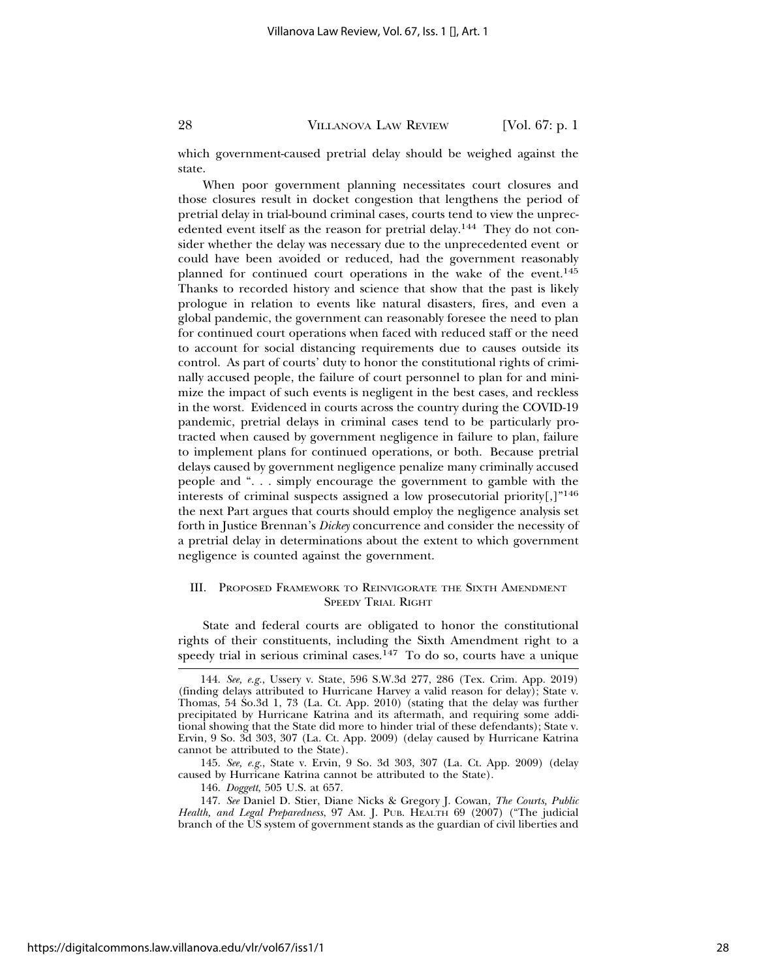which government-caused pretrial delay should be weighed against the state.

When poor government planning necessitates court closures and those closures result in docket congestion that lengthens the period of pretrial delay in trial-bound criminal cases, courts tend to view the unprecedented event itself as the reason for pretrial delay.<sup>144</sup> They do not consider whether the delay was necessary due to the unprecedented event or could have been avoided or reduced, had the government reasonably planned for continued court operations in the wake of the event.<sup>145</sup> Thanks to recorded history and science that show that the past is likely prologue in relation to events like natural disasters, fires, and even a global pandemic, the government can reasonably foresee the need to plan for continued court operations when faced with reduced staff or the need to account for social distancing requirements due to causes outside its control. As part of courts' duty to honor the constitutional rights of criminally accused people, the failure of court personnel to plan for and minimize the impact of such events is negligent in the best cases, and reckless in the worst. Evidenced in courts across the country during the COVID-19 pandemic, pretrial delays in criminal cases tend to be particularly protracted when caused by government negligence in failure to plan, failure to implement plans for continued operations, or both. Because pretrial delays caused by government negligence penalize many criminally accused people and ". . . simply encourage the government to gamble with the interests of criminal suspects assigned a low prosecutorial priority[,]"146 the next Part argues that courts should employ the negligence analysis set forth in Justice Brennan's *Dickey* concurrence and consider the necessity of a pretrial delay in determinations about the extent to which government negligence is counted against the government.

#### III. PROPOSED FRAMEWORK TO REINVIGORATE THE SIXTH AMENDMENT SPEEDY TRIAL RIGHT

State and federal courts are obligated to honor the constitutional rights of their constituents, including the Sixth Amendment right to a speedy trial in serious criminal cases.<sup>147</sup> To do so, courts have a unique

146. *Doggett*, 505 U.S. at 657.

<sup>144.</sup> *See, e.g.*, Ussery v. State, 596 S.W.3d 277, 286 (Tex. Crim. App. 2019) (finding delays attributed to Hurricane Harvey a valid reason for delay); State v. Thomas, 54 So.3d 1, 73 (La. Ct. App. 2010) (stating that the delay was further precipitated by Hurricane Katrina and its aftermath, and requiring some additional showing that the State did more to hinder trial of these defendants); State v. Ervin, 9 So. 3d 303, 307 (La. Ct. App. 2009) (delay caused by Hurricane Katrina cannot be attributed to the State).

<sup>145.</sup> *See, e.g.*, State v. Ervin, 9 So. 3d 303, 307 (La. Ct. App. 2009) (delay caused by Hurricane Katrina cannot be attributed to the State).

<sup>147.</sup> *See* Daniel D. Stier, Diane Nicks & Gregory J. Cowan, *The Courts, Public Health, and Legal Preparedness*, 97 AM. J. PUB. HEALTH 69 (2007) ("The judicial branch of the US system of government stands as the guardian of civil liberties and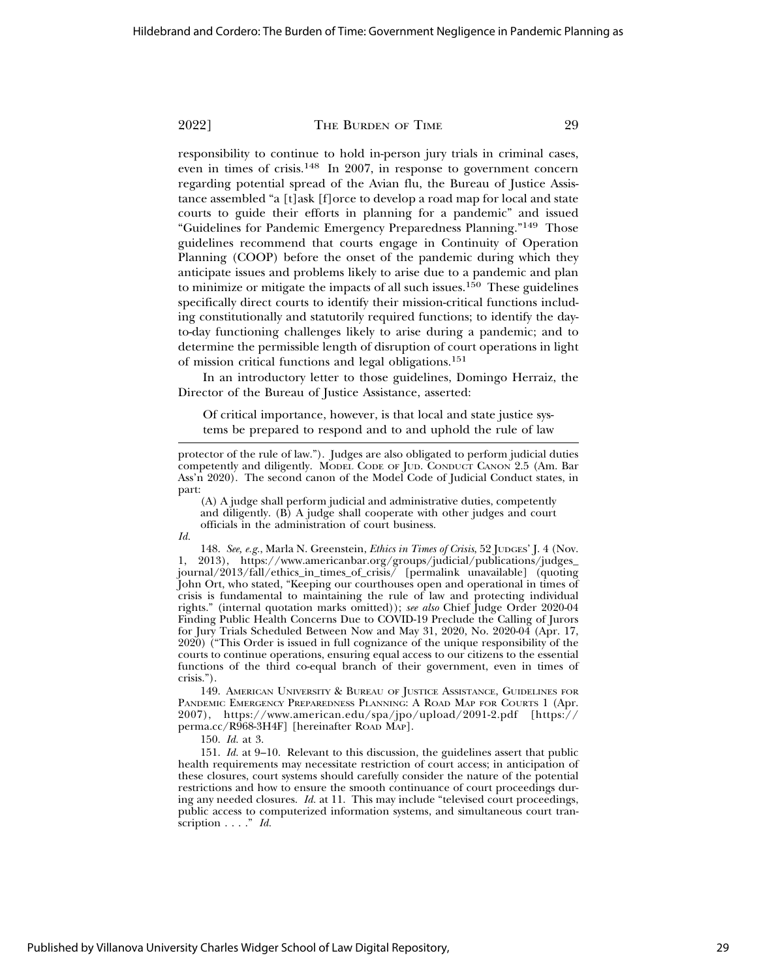responsibility to continue to hold in-person jury trials in criminal cases, even in times of crisis.148 In 2007, in response to government concern regarding potential spread of the Avian flu, the Bureau of Justice Assistance assembled "a [t]ask [f]orce to develop a road map for local and state courts to guide their efforts in planning for a pandemic" and issued "Guidelines for Pandemic Emergency Preparedness Planning."149 Those guidelines recommend that courts engage in Continuity of Operation Planning (COOP) before the onset of the pandemic during which they anticipate issues and problems likely to arise due to a pandemic and plan to minimize or mitigate the impacts of all such issues.<sup>150</sup> These guidelines specifically direct courts to identify their mission-critical functions including constitutionally and statutorily required functions; to identify the dayto-day functioning challenges likely to arise during a pandemic; and to determine the permissible length of disruption of court operations in light of mission critical functions and legal obligations.151

In an introductory letter to those guidelines, Domingo Herraiz, the Director of the Bureau of Justice Assistance, asserted:

Of critical importance, however, is that local and state justice systems be prepared to respond and to and uphold the rule of law

(A) A judge shall perform judicial and administrative duties, competently and diligently. (B) A judge shall cooperate with other judges and court officials in the administration of court business.

*Id.*

148. *See, e.g.*, Marla N. Greenstein, *Ethics in Times of Crisis*, 52 JUDGES' J. 4 (Nov. 1, 2013), https://www.americanbar.org/groups/judicial/publications/judges\_ journal/2013/fall/ethics\_in\_times\_of\_crisis/ [permalink unavailable] (quoting John Ort, who stated, "Keeping our courthouses open and operational in times of crisis is fundamental to maintaining the rule of law and protecting individual rights." (internal quotation marks omitted)); *see also* Chief Judge Order 2020-04 Finding Public Health Concerns Due to COVID-19 Preclude the Calling of Jurors for Jury Trials Scheduled Between Now and May 31, 2020, No. 2020-04 (Apr. 17, 2020) ("This Order is issued in full cognizance of the unique responsibility of the courts to continue operations, ensuring equal access to our citizens to the essential functions of the third co-equal branch of their government, even in times of crisis.").

149. AMERICAN UNIVERSITY & BUREAU OF JUSTICE ASSISTANCE, GUIDELINES FOR PANDEMIC EMERGENCY PREPAREDNESS PLANNING: A ROAD MAP FOR COURTS 1 (Apr. 2007), https://www.american.edu/spa/jpo/upload/2091-2.pdf [https:// perma.cc/R968-3H4F] [hereinafter ROAD MAP].

150. *Id.* at 3.

151. *Id.* at 9–10. Relevant to this discussion, the guidelines assert that public health requirements may necessitate restriction of court access; in anticipation of these closures, court systems should carefully consider the nature of the potential restrictions and how to ensure the smooth continuance of court proceedings during any needed closures. *Id.* at 11. This may include "televised court proceedings, public access to computerized information systems, and simultaneous court transcription . . . ." *Id.*

protector of the rule of law."). Judges are also obligated to perform judicial duties competently and diligently. MODEL CODE OF JUD. CONDUCT CANON 2.5 (Am. Bar Ass'n 2020). The second canon of the Model Code of Judicial Conduct states, in part: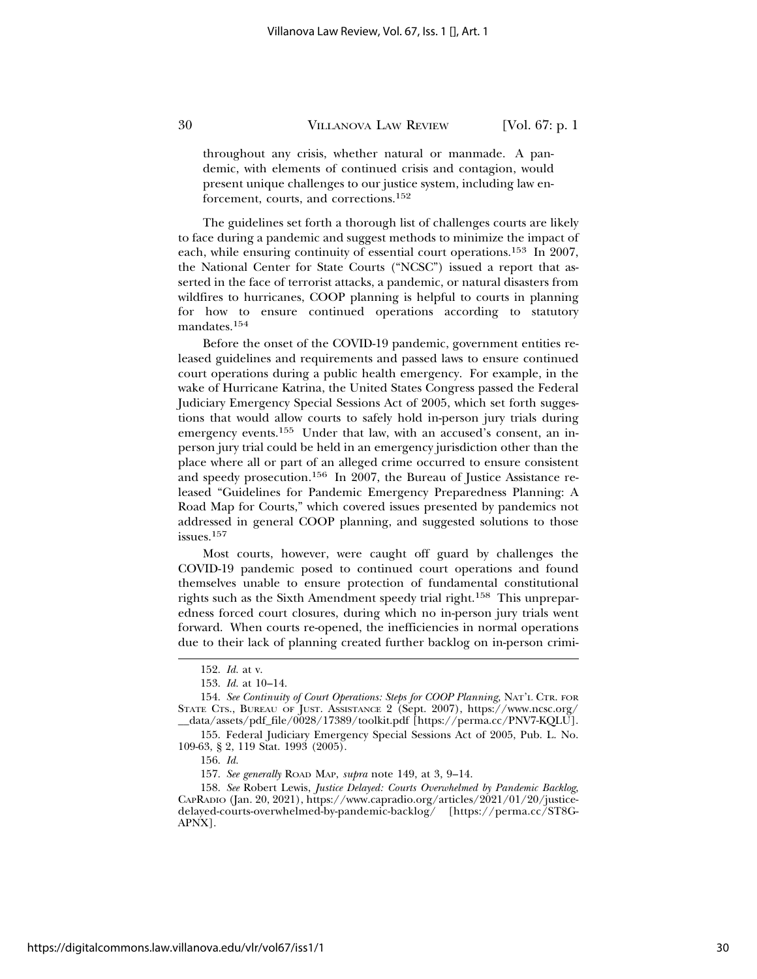throughout any crisis, whether natural or manmade. A pandemic, with elements of continued crisis and contagion, would present unique challenges to our justice system, including law enforcement, courts, and corrections.152

The guidelines set forth a thorough list of challenges courts are likely to face during a pandemic and suggest methods to minimize the impact of each, while ensuring continuity of essential court operations.153 In 2007, the National Center for State Courts ("NCSC") issued a report that asserted in the face of terrorist attacks, a pandemic, or natural disasters from wildfires to hurricanes, COOP planning is helpful to courts in planning for how to ensure continued operations according to statutory mandates.<sup>154</sup>

Before the onset of the COVID-19 pandemic, government entities released guidelines and requirements and passed laws to ensure continued court operations during a public health emergency. For example, in the wake of Hurricane Katrina, the United States Congress passed the Federal Judiciary Emergency Special Sessions Act of 2005, which set forth suggestions that would allow courts to safely hold in-person jury trials during emergency events.<sup>155</sup> Under that law, with an accused's consent, an inperson jury trial could be held in an emergency jurisdiction other than the place where all or part of an alleged crime occurred to ensure consistent and speedy prosecution.156 In 2007, the Bureau of Justice Assistance released "Guidelines for Pandemic Emergency Preparedness Planning: A Road Map for Courts," which covered issues presented by pandemics not addressed in general COOP planning, and suggested solutions to those issues.<sup>157</sup>

Most courts, however, were caught off guard by challenges the COVID-19 pandemic posed to continued court operations and found themselves unable to ensure protection of fundamental constitutional rights such as the Sixth Amendment speedy trial right.158 This unpreparedness forced court closures, during which no in-person jury trials went forward. When courts re-opened, the inefficiencies in normal operations due to their lack of planning created further backlog on in-person crimi-

<sup>152.</sup> *Id.* at v.

<sup>153.</sup> *Id.* at 10–14.

<sup>154.</sup> *See Continuity of Court Operations: Steps for COOP Planning,* NAT'L CTR. FOR STATE CTS., BUREAU OF JUST. ASSISTANCE 2 (Sept. 2007), https://www.ncsc.org/ \_\_data/assets/pdf\_file/0028/17389/toolkit.pdf [https://perma.cc/PNV7-KQLU].

<sup>155.</sup> Federal Judiciary Emergency Special Sessions Act of 2005, Pub. L. No. 109-63, § 2, 119 Stat. 1993 (2005).

<sup>156.</sup> *Id.*

<sup>157.</sup> *See generally* ROAD MAP, *supra* note 149, at 3, 9–14.

<sup>158.</sup> *See* Robert Lewis, *Justice Delayed: Courts Overwhelmed by Pandemic Backlog*, CAPRADIO (Jan. 20, 2021), https://www.capradio.org/articles/2021/01/20/justicedelayed-courts-overwhelmed-by-pandemic-backlog/ [https://perma.cc/ST8G-APNX].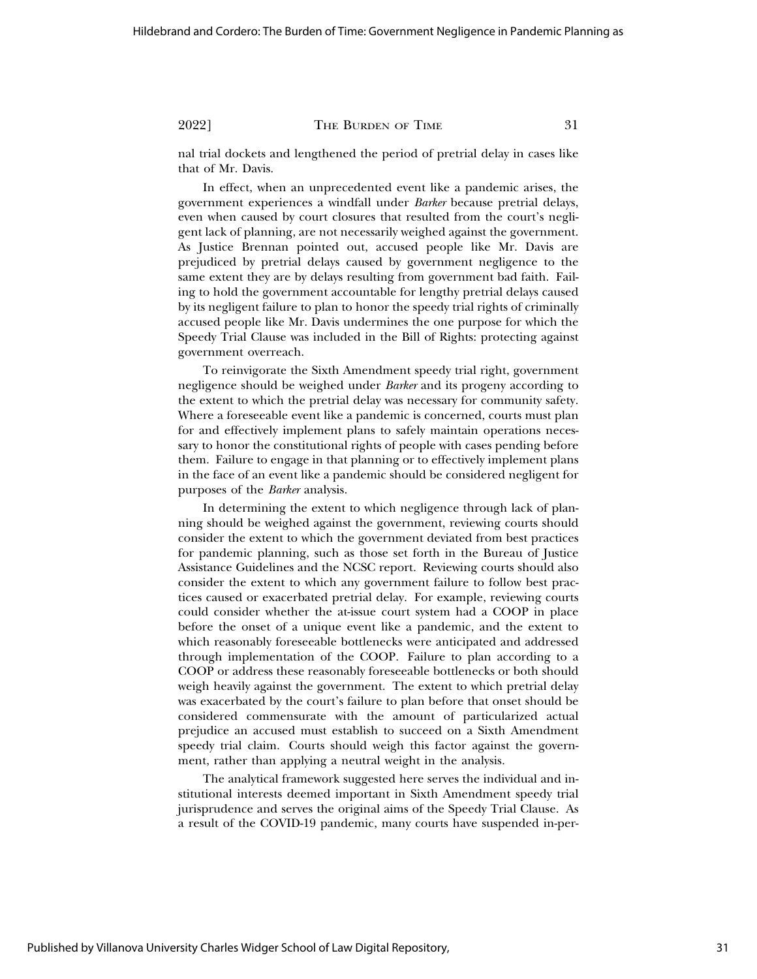nal trial dockets and lengthened the period of pretrial delay in cases like that of Mr. Davis.

In effect, when an unprecedented event like a pandemic arises, the government experiences a windfall under *Barker* because pretrial delays, even when caused by court closures that resulted from the court's negligent lack of planning, are not necessarily weighed against the government. As Justice Brennan pointed out, accused people like Mr. Davis are prejudiced by pretrial delays caused by government negligence to the same extent they are by delays resulting from government bad faith. Failing to hold the government accountable for lengthy pretrial delays caused by its negligent failure to plan to honor the speedy trial rights of criminally accused people like Mr. Davis undermines the one purpose for which the Speedy Trial Clause was included in the Bill of Rights: protecting against government overreach.

To reinvigorate the Sixth Amendment speedy trial right, government negligence should be weighed under *Barker* and its progeny according to the extent to which the pretrial delay was necessary for community safety. Where a foreseeable event like a pandemic is concerned, courts must plan for and effectively implement plans to safely maintain operations necessary to honor the constitutional rights of people with cases pending before them. Failure to engage in that planning or to effectively implement plans in the face of an event like a pandemic should be considered negligent for purposes of the *Barker* analysis.

In determining the extent to which negligence through lack of planning should be weighed against the government, reviewing courts should consider the extent to which the government deviated from best practices for pandemic planning, such as those set forth in the Bureau of Justice Assistance Guidelines and the NCSC report. Reviewing courts should also consider the extent to which any government failure to follow best practices caused or exacerbated pretrial delay. For example, reviewing courts could consider whether the at-issue court system had a COOP in place before the onset of a unique event like a pandemic, and the extent to which reasonably foreseeable bottlenecks were anticipated and addressed through implementation of the COOP. Failure to plan according to a COOP or address these reasonably foreseeable bottlenecks or both should weigh heavily against the government. The extent to which pretrial delay was exacerbated by the court's failure to plan before that onset should be considered commensurate with the amount of particularized actual prejudice an accused must establish to succeed on a Sixth Amendment speedy trial claim. Courts should weigh this factor against the government, rather than applying a neutral weight in the analysis.

The analytical framework suggested here serves the individual and institutional interests deemed important in Sixth Amendment speedy trial jurisprudence and serves the original aims of the Speedy Trial Clause. As a result of the COVID-19 pandemic, many courts have suspended in-per-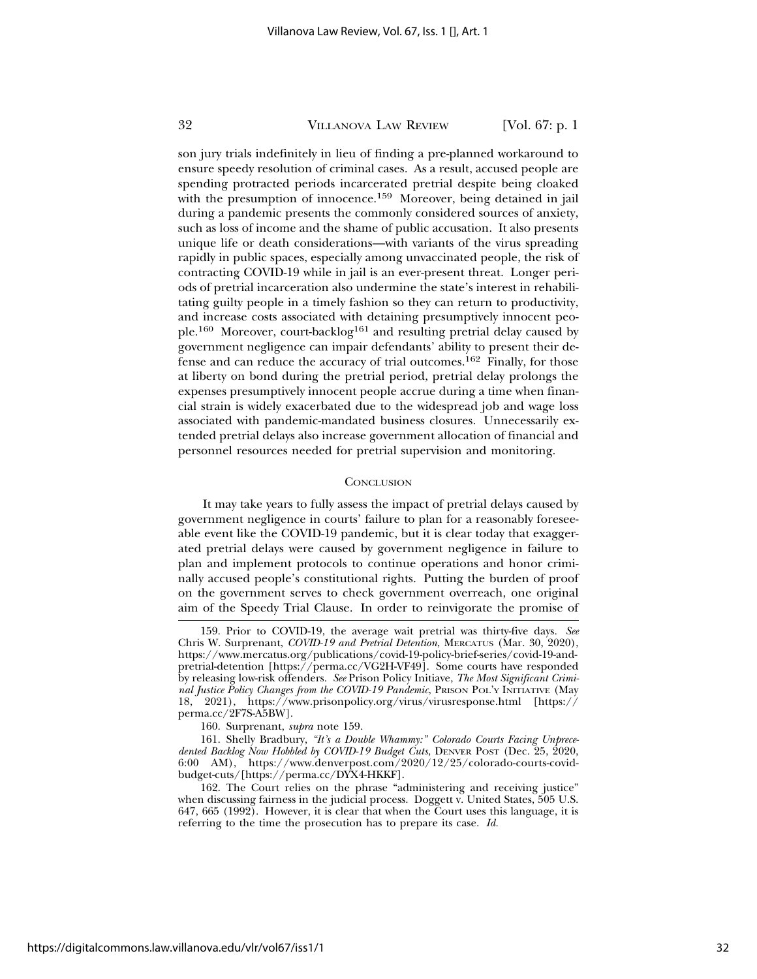son jury trials indefinitely in lieu of finding a pre-planned workaround to ensure speedy resolution of criminal cases. As a result, accused people are spending protracted periods incarcerated pretrial despite being cloaked with the presumption of innocence.<sup>159</sup> Moreover, being detained in jail during a pandemic presents the commonly considered sources of anxiety, such as loss of income and the shame of public accusation. It also presents unique life or death considerations—with variants of the virus spreading rapidly in public spaces, especially among unvaccinated people, the risk of contracting COVID-19 while in jail is an ever-present threat. Longer periods of pretrial incarceration also undermine the state's interest in rehabilitating guilty people in a timely fashion so they can return to productivity, and increase costs associated with detaining presumptively innocent people.160 Moreover, court-backlog161 and resulting pretrial delay caused by government negligence can impair defendants' ability to present their defense and can reduce the accuracy of trial outcomes.162 Finally, for those at liberty on bond during the pretrial period, pretrial delay prolongs the expenses presumptively innocent people accrue during a time when financial strain is widely exacerbated due to the widespread job and wage loss associated with pandemic-mandated business closures. Unnecessarily extended pretrial delays also increase government allocation of financial and personnel resources needed for pretrial supervision and monitoring.

#### **CONCLUSION**

It may take years to fully assess the impact of pretrial delays caused by government negligence in courts' failure to plan for a reasonably foreseeable event like the COVID-19 pandemic, but it is clear today that exaggerated pretrial delays were caused by government negligence in failure to plan and implement protocols to continue operations and honor criminally accused people's constitutional rights. Putting the burden of proof on the government serves to check government overreach, one original aim of the Speedy Trial Clause. In order to reinvigorate the promise of

<sup>159.</sup> Prior to COVID-19, the average wait pretrial was thirty-five days. *See* Chris W. Surprenant, *COVID-19 and Pretrial Detention*, MERCATUS (Mar. 30, 2020), https://www.mercatus.org/publications/covid-19-policy-brief-series/covid-19-andpretrial-detention [https://perma.cc/VG2H-VF49]. Some courts have responded by releasing low-risk offenders. *See* Prison Policy Initiave, *The Most Significant Criminal Justice Policy Changes from the COVID-19 Pandemic*, PRISON POL'Y INITIATIVE (May 18, 2021), https://www.prisonpolicy.org/virus/virusresponse.html [https:// perma.cc/2F7S-A5BW].

<sup>160.</sup> Surprenant, *supra* note 159.

<sup>161.</sup> Shelly Bradbury, *"It's a Double Whammy:" Colorado Courts Facing Unprecedented Backlog Now Hobbled by COVID-19 Budget Cuts*, DENVER POST (Dec. 25, 2020, 6:00 AM), https://www.denverpost.com/2020/12/25/colorado-courts-covidbudget-cuts/[https://perma.cc/DYX4-HKKF].

<sup>162.</sup> The Court relies on the phrase "administering and receiving justice" when discussing fairness in the judicial process. Doggett v. United States, 505 U.S. 647, 665 (1992). However, it is clear that when the Court uses this language, it is referring to the time the prosecution has to prepare its case. *Id.*